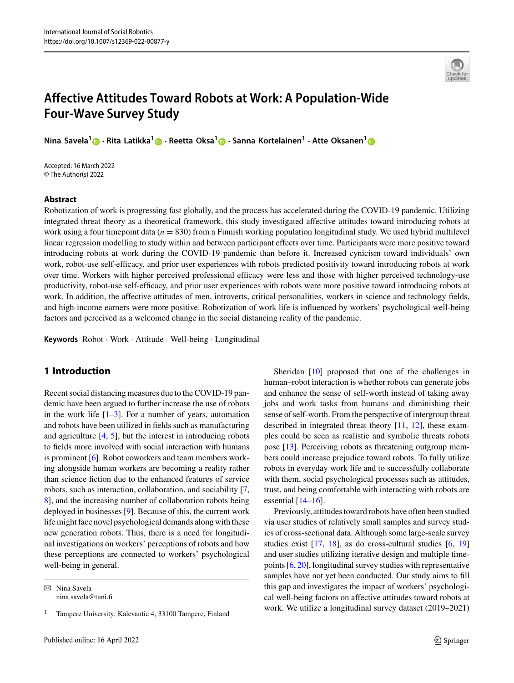

# **Affective Attitudes Toward Robots at Work: A Population-Wide Four-Wave Survey Study**

**Nina Savela[1](http://orcid.org/0000-0002-7042-6889) · Rita Latikka[1](https://orcid.org/0000-0003-3798-0017) · Reetta Oksa[1](https://orcid.org/0000-0002-8007-4653) · Sanna Kortelainen<sup>1</sup> · Atte Oksanen[1](https://orcid.org/0000-0003-4143-5580)**

Accepted: 16 March 2022 © The Author(s) 2022

# **Abstract**

Robotization of work is progressing fast globally, and the process has accelerated during the COVID-19 pandemic. Utilizing integrated threat theory as a theoretical framework, this study investigated affective attitudes toward introducing robots at work using a four timepoint data  $(n = 830)$  from a Finnish working population longitudinal study. We used hybrid multilevel linear regression modelling to study within and between participant effects over time. Participants were more positive toward introducing robots at work during the COVID-19 pandemic than before it. Increased cynicism toward individuals' own work, robot-use self-efficacy, and prior user experiences with robots predicted positivity toward introducing robots at work over time. Workers with higher perceived professional efficacy were less and those with higher perceived technology-use productivity, robot-use self-efficacy, and prior user experiences with robots were more positive toward introducing robots at work. In addition, the affective attitudes of men, introverts, critical personalities, workers in science and technology fields, and high-income earners were more positive. Robotization of work life is influenced by workers' psychological well-being factors and perceived as a welcomed change in the social distancing reality of the pandemic.

**Keywords** Robot · Work · Attitude · Well-being · Longitudinal

# **1 Introduction**

Recent social distancing measures due to the COVID-19 pandemic have been argued to further increase the use of robots in the work life  $[1-3]$  $[1-3]$ . For a number of years, automation and robots have been utilized in fields such as manufacturing and agriculture [\[4,](#page-14-2) [5\]](#page-14-3), but the interest in introducing robots to fields more involved with social interaction with humans is prominent [\[6\]](#page-14-4). Robot coworkers and team members working alongside human workers are becoming a reality rather than science fiction due to the enhanced features of service robots, such as interaction, collaboration, and sociability [\[7,](#page-14-5) [8\]](#page-14-6), and the increasing number of collaboration robots being deployed in businesses [\[9\]](#page-14-7). Because of this, the current work life might face novel psychological demands along with these new generation robots. Thus, there is a need for longitudinal investigations on workers' perceptions of robots and how these perceptions are connected to workers' psychological well-being in general.

 $\boxtimes$  Nina Savela nina.savela@tuni.fi

Sheridan [\[10\]](#page-14-8) proposed that one of the challenges in human–robot interaction is whether robots can generate jobs and enhance the sense of self-worth instead of taking away jobs and work tasks from humans and diminishing their sense of self-worth. From the perspective of intergroup threat described in integrated threat theory [\[11,](#page-14-9) [12\]](#page-14-10), these examples could be seen as realistic and symbolic threats robots pose [\[13\]](#page-14-11). Perceiving robots as threatening outgroup members could increase prejudice toward robots. To fully utilize robots in everyday work life and to successfully collaborate with them, social psychological processes such as attitudes, trust, and being comfortable with interacting with robots are essential  $[14–16]$  $[14–16]$ .

Previously, attitudes toward robots have often been studied via user studies of relatively small samples and survey studies of cross-sectional data. Although some large-scale survey studies exist [\[17,](#page-14-14) [18\]](#page-14-15), as do cross-cultural studies [\[6,](#page-14-4) [19\]](#page-14-16) and user studies utilizing iterative design and multiple timepoints [\[6,](#page-14-4) [20\]](#page-14-17), longitudinal survey studies with representative samples have not yet been conducted. Our study aims to fill this gap and investigates the impact of workers' psychological well-being factors on affective attitudes toward robots at work. We utilize a longitudinal survey dataset (2019–2021)

<sup>1</sup> Tampere University, Kalevantie 4, 33100 Tampere, Finland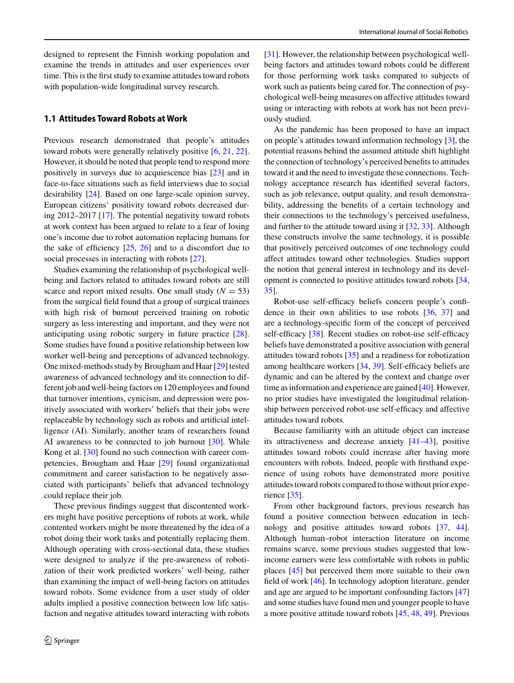designed to represent the Finnish working population and examine the trends in attitudes and user experiences over time. This is the first study to examine attitudes toward robots with population-wide longitudinal survey research.

# **1.1 Attitudes Toward Robots at Work**

Previous research demonstrated that people's attitudes toward robots were generally relatively positive [\[6,](#page-14-4) [21,](#page-14-18) [22\]](#page-14-19). However, it should be noted that people tend to respond more positively in surveys due to acquiescence bias [\[23\]](#page-14-20) and in face-to-face situations such as field interviews due to social desirability [\[24\]](#page-14-21). Based on one large-scale opinion survey, European citizens' positivity toward robots decreased during 2012–2017 [\[17\]](#page-14-14). The potential negativity toward robots at work context has been argued to relate to a fear of losing one's income due to robot automation replacing humans for the sake of efficiency [\[25,](#page-14-22) [26\]](#page-14-23) and to a discomfort due to social processes in interacting with robots [\[27\]](#page-14-24).

Studies examining the relationship of psychological wellbeing and factors related to attitudes toward robots are still scarce and report mixed results. One small study  $(N = 53)$ from the surgical field found that a group of surgical trainees with high risk of burnout perceived training on robotic surgery as less interesting and important, and they were not anticipating using robotic surgery in future practice [\[28\]](#page-14-25). Some studies have found a positive relationship between low worker well-being and perceptions of advanced technology. One mixed-methods study by Brougham and Haar [\[29\]](#page-14-26) tested awareness of advanced technology and its connection to different job and well-being factors on 120 employees and found that turnover intentions, cynicism, and depression were positively associated with workers' beliefs that their jobs were replaceable by technology such as robots and artificial intelligence (AI). Similarly, another team of researchers found AI awareness to be connected to job burnout [\[30\]](#page-14-27). While Kong et al. [\[30\]](#page-14-27) found no such connection with career competencies, Brougham and Haar [\[29\]](#page-14-26) found organizational commitment and career satisfaction to be negatively associated with participants' beliefs that advanced technology could replace their job.

These previous findings suggest that discontented workers might have positive perceptions of robots at work, while contented workers might be more threatened by the idea of a robot doing their work tasks and potentially replacing them. Although operating with cross-sectional data, these studies were designed to analyze if the pre-awareness of robotization of their work predicted workers' well-being, rather than examining the impact of well-being factors on attitudes toward robots. Some evidence from a user study of older adults implied a positive connection between low life satisfaction and negative attitudes toward interacting with robots [\[31\]](#page-14-28). However, the relationship between psychological wellbeing factors and attitudes toward robots could be different for those performing work tasks compared to subjects of work such as patients being cared for. The connection of psychological well-being measures on affective attitudes toward using or interacting with robots at work has not been previously studied.

As the pandemic has been proposed to have an impact on people's attitudes toward information technology [\[3\]](#page-14-1), the potential reasons behind the assumed attitude shift highlight the connection of technology's perceived benefits to attitudes toward it and the need to investigate these connections. Technology acceptance research has identified several factors, such as job relevance, output quality, and result demonstrability, addressing the benefits of a certain technology and their connections to the technology's perceived usefulness, and further to the attitude toward using it [\[32,](#page-14-29) [33\]](#page-14-30). Although these constructs involve the same technology, it is possible that positively perceived outcomes of one technology could affect attitudes toward other technologies. Studies support the notion that general interest in technology and its development is connected to positive attitudes toward robots [\[34,](#page-15-0) [35\]](#page-15-1).

Robot-use self-efficacy beliefs concern people's confidence in their own abilities to use robots [\[36,](#page-15-2) [37\]](#page-15-3) and are a technology-specific form of the concept of perceived self-efficacy [\[38\]](#page-15-4). Recent studies on robot-use self-efficacy beliefs have demonstrated a positive association with general attitudes toward robots [\[35\]](#page-15-1) and a readiness for robotization among healthcare workers [\[34,](#page-15-0) [39\]](#page-15-5). Self-efficacy beliefs are dynamic and can be altered by the context and change over time as information and experience are gained [\[40\]](#page-15-6). However, no prior studies have investigated the longitudinal relationship between perceived robot-use self-efficacy and affective attitudes toward robots.

Because familiarity with an attitude object can increase its attractiveness and decrease anxiety [\[41](#page-15-7)[–43\]](#page-15-8), positive attitudes toward robots could increase after having more encounters with robots. Indeed, people with firsthand experience of using robots have demonstrated more positive attitudes toward robots compared to those without prior experience [\[35\]](#page-15-1).

From other background factors, previous research has found a positive connection between education in technology and positive attitudes toward robots [\[37,](#page-15-3) [44\]](#page-15-9). Although human–robot interaction literature on income remains scarce, some previous studies suggested that lowincome earners were less comfortable with robots in public places [\[45\]](#page-15-10) but perceived them more suitable to their own field of work [\[46\]](#page-15-11). In technology adoption literature, gender and age are argued to be important confounding factors [\[47\]](#page-15-12) and some studies have found men and younger people to have a more positive attitude toward robots [\[45,](#page-15-10) [48,](#page-15-13) [49\]](#page-15-14). Previous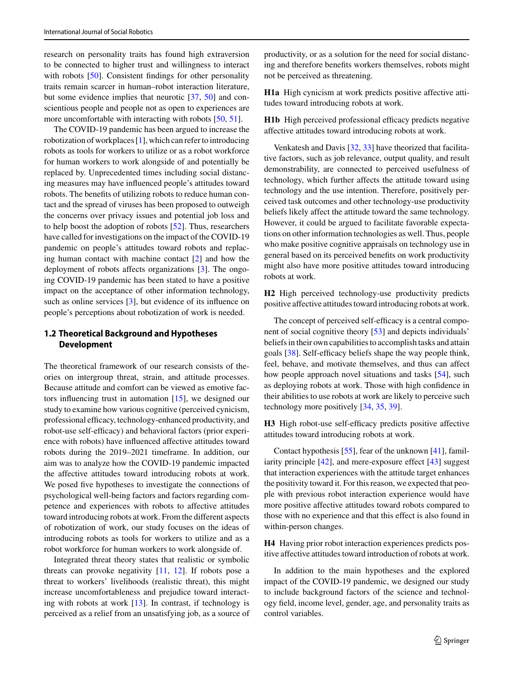research on personality traits has found high extraversion to be connected to higher trust and willingness to interact with robots [\[50\]](#page-15-15). Consistent findings for other personality traits remain scarcer in human–robot interaction literature, but some evidence implies that neurotic [\[37,](#page-15-3) [50\]](#page-15-15) and conscientious people and people not as open to experiences are more uncomfortable with interacting with robots [\[50,](#page-15-15) [51\]](#page-15-16).

The COVID-19 pandemic has been argued to increase the robotization of workplaces [\[1\]](#page-14-0), which can refer to introducing robots as tools for workers to utilize or as a robot workforce for human workers to work alongside of and potentially be replaced by. Unprecedented times including social distancing measures may have influenced people's attitudes toward robots. The benefits of utilizing robots to reduce human contact and the spread of viruses has been proposed to outweigh the concerns over privacy issues and potential job loss and to help boost the adoption of robots [\[52\]](#page-15-17). Thus, researchers have called for investigations on the impact of the COVID-19 pandemic on people's attitudes toward robots and replacing human contact with machine contact [\[2\]](#page-14-31) and how the deployment of robots affects organizations [\[3\]](#page-14-1). The ongoing COVID-19 pandemic has been stated to have a positive impact on the acceptance of other information technology, such as online services [\[3\]](#page-14-1), but evidence of its influence on people's perceptions about robotization of work is needed.

# **1.2 Theoretical Background and Hypotheses Development**

The theoretical framework of our research consists of theories on intergroup threat, strain, and attitude processes. Because attitude and comfort can be viewed as emotive factors influencing trust in automation [\[15\]](#page-14-32), we designed our study to examine how various cognitive (perceived cynicism, professional efficacy, technology-enhanced productivity, and robot-use self-efficacy) and behavioral factors (prior experience with robots) have influenced affective attitudes toward robots during the 2019–2021 timeframe. In addition, our aim was to analyze how the COVID-19 pandemic impacted the affective attitudes toward introducing robots at work. We posed five hypotheses to investigate the connections of psychological well-being factors and factors regarding competence and experiences with robots to affective attitudes toward introducing robots at work. From the different aspects of robotization of work, our study focuses on the ideas of introducing robots as tools for workers to utilize and as a robot workforce for human workers to work alongside of.

Integrated threat theory states that realistic or symbolic threats can provoke negativity  $[11, 12]$  $[11, 12]$  $[11, 12]$ . If robots pose a threat to workers' livelihoods (realistic threat), this might increase uncomfortableness and prejudice toward interacting with robots at work [\[13\]](#page-14-11). In contrast, if technology is perceived as a relief from an unsatisfying job, as a source of productivity, or as a solution for the need for social distancing and therefore benefits workers themselves, robots might not be perceived as threatening.

**H1a** High cynicism at work predicts positive affective attitudes toward introducing robots at work.

**H1b** High perceived professional efficacy predicts negative affective attitudes toward introducing robots at work.

Venkatesh and Davis [\[32,](#page-14-29) [33\]](#page-14-30) have theorized that facilitative factors, such as job relevance, output quality, and result demonstrability, are connected to perceived usefulness of technology, which further affects the attitude toward using technology and the use intention. Therefore, positively perceived task outcomes and other technology-use productivity beliefs likely affect the attitude toward the same technology. However, it could be argued to facilitate favorable expectations on other information technologies as well. Thus, people who make positive cognitive appraisals on technology use in general based on its perceived benefits on work productivity might also have more positive attitudes toward introducing robots at work.

**H2** High perceived technology-use productivity predicts positive affective attitudes toward introducing robots at work.

The concept of perceived self-efficacy is a central component of social cognitive theory [\[53\]](#page-15-18) and depicts individuals' beliefs in their own capabilities to accomplish tasks and attain goals [\[38\]](#page-15-4). Self-efficacy beliefs shape the way people think, feel, behave, and motivate themselves, and thus can affect how people approach novel situations and tasks [\[54\]](#page-15-19), such as deploying robots at work. Those with high confidence in their abilities to use robots at work are likely to perceive such technology more positively [\[34,](#page-15-0) [35,](#page-15-1) [39\]](#page-15-5).

**H3** High robot-use self-efficacy predicts positive affective attitudes toward introducing robots at work.

Contact hypothesis [\[55\]](#page-15-20), fear of the unknown [\[41\]](#page-15-7), familiarity principle [\[42\]](#page-15-21), and mere-exposure effect [\[43\]](#page-15-8) suggest that interaction experiences with the attitude target enhances the positivity toward it. For this reason, we expected that people with previous robot interaction experience would have more positive affective attitudes toward robots compared to those with no experience and that this effect is also found in within-person changes.

**H4** Having prior robot interaction experiences predicts positive affective attitudes toward introduction of robots at work.

In addition to the main hypotheses and the explored impact of the COVID-19 pandemic, we designed our study to include background factors of the science and technology field, income level, gender, age, and personality traits as control variables.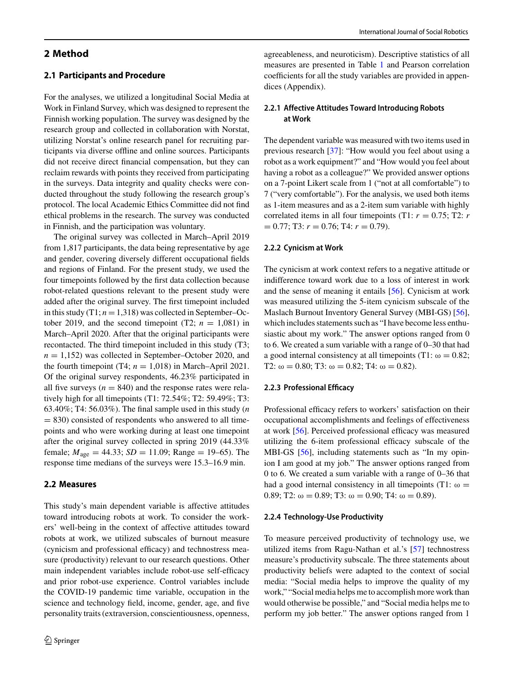# **2 Method**

# **2.1 Participants and Procedure**

For the analyses, we utilized a longitudinal Social Media at Work in Finland Survey, which was designed to represent the Finnish working population. The survey was designed by the research group and collected in collaboration with Norstat, utilizing Norstat's online research panel for recruiting participants via diverse offline and online sources. Participants did not receive direct financial compensation, but they can reclaim rewards with points they received from participating in the surveys. Data integrity and quality checks were conducted throughout the study following the research group's protocol. The local Academic Ethics Committee did not find ethical problems in the research. The survey was conducted in Finnish, and the participation was voluntary.

The original survey was collected in March–April 2019 from 1,817 participants, the data being representative by age and gender, covering diversely different occupational fields and regions of Finland. For the present study, we used the four timepoints followed by the first data collection because robot-related questions relevant to the present study were added after the original survey. The first timepoint included in this study  $(T1; n = 1,318)$  was collected in September–October 2019, and the second timepoint (T2;  $n = 1,081$ ) in March–April 2020. After that the original participants were recontacted. The third timepoint included in this study (T3;  $n = 1,152$ ) was collected in September–October 2020, and the fourth timepoint (T4;  $n = 1,018$ ) in March–April 2021. Of the original survey respondents, 46.23% participated in all five surveys ( $n = 840$ ) and the response rates were relatively high for all timepoints (T1: 72.54%; T2: 59.49%; T3: 63.40%; T4: 56.03%). The final sample used in this study (*n*  $= 830$ ) consisted of respondents who answered to all timepoints and who were working during at least one timepoint after the original survey collected in spring 2019 (44.33% female;  $M_{\text{age}} = 44.33$ ;  $SD = 11.09$ ; Range = 19–65). The response time medians of the surveys were 15.3–16.9 min.

### **2.2 Measures**

This study's main dependent variable is affective attitudes toward introducing robots at work. To consider the workers' well-being in the context of affective attitudes toward robots at work, we utilized subscales of burnout measure (cynicism and professional efficacy) and technostress measure (productivity) relevant to our research questions. Other main independent variables include robot-use self-efficacy and prior robot-use experience. Control variables include the COVID-19 pandemic time variable, occupation in the science and technology field, income, gender, age, and five personality traits (extraversion, conscientiousness, openness,

agreeableness, and neuroticism). Descriptive statistics of all measures are presented in Table [1](#page-4-0) and Pearson correlation coefficients for all the study variables are provided in appendices (Appendix).

# **2.2.1 Affective Attitudes Toward Introducing Robots at Work**

The dependent variable was measured with two items used in previous research [\[37\]](#page-15-3): "How would you feel about using a robot as a work equipment?" and "How would you feel about having a robot as a colleague?" We provided answer options on a 7-point Likert scale from 1 ("not at all comfortable") to 7 ("very comfortable"). For the analysis, we used both items as 1-item measures and as a 2-item sum variable with highly correlated items in all four timepoints (T1:  $r = 0.75$ ; T2:  $r = 0.75$ )  $= 0.77$ ; T3:  $r = 0.76$ ; T4:  $r = 0.79$ ).

### **2.2.2 Cynicism at Work**

The cynicism at work context refers to a negative attitude or indifference toward work due to a loss of interest in work and the sense of meaning it entails [\[56\]](#page-15-22). Cynicism at work was measured utilizing the 5-item cynicism subscale of the Maslach Burnout Inventory General Survey (MBI-GS) [\[56\]](#page-15-22), which includes statements such as "I have become less enthusiastic about my work." The answer options ranged from 0 to 6. We created a sum variable with a range of 0–30 that had a good internal consistency at all timepoints (T1:  $\omega = 0.82$ ; T2:  $\omega = 0.80$ ; T3:  $\omega = 0.82$ ; T4:  $\omega = 0.82$ ).

### **2.2.3 Professional Efficacy**

Professional efficacy refers to workers' satisfaction on their occupational accomplishments and feelings of effectiveness at work [\[56\]](#page-15-22). Perceived professional efficacy was measured utilizing the 6-item professional efficacy subscale of the MBI-GS [\[56\]](#page-15-22), including statements such as "In my opinion I am good at my job." The answer options ranged from 0 to 6. We created a sum variable with a range of 0–36 that had a good internal consistency in all timepoints (T1:  $\omega$  = 0.89; T2:  $\omega = 0.89$ ; T3:  $\omega = 0.90$ ; T4:  $\omega = 0.89$ ).

### **2.2.4 Technology-Use Productivity**

To measure perceived productivity of technology use, we utilized items from Ragu-Nathan et al.'s [\[57\]](#page-15-23) technostress measure's productivity subscale. The three statements about productivity beliefs were adapted to the context of social media: "Social media helps to improve the quality of my work," "Social media helps me to accomplish more work than would otherwise be possible," and "Social media helps me to perform my job better." The answer options ranged from 1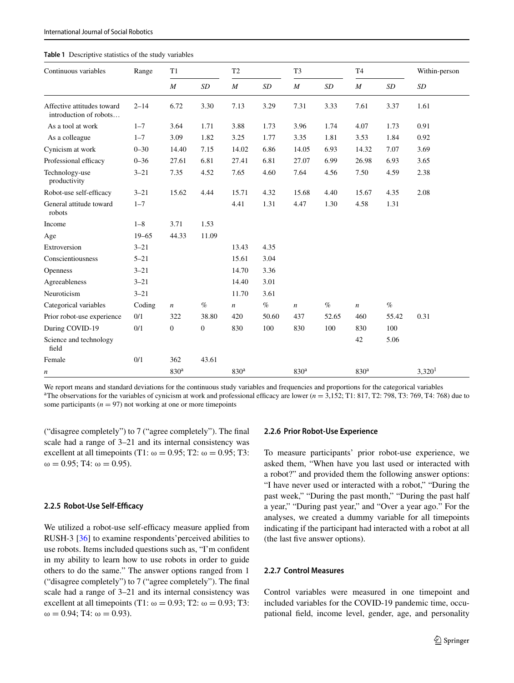#### <span id="page-4-0"></span>**Table 1** Descriptive statistics of the study variables

| Continuous variables                                 | Range     | T1               |                | T2               |       | T <sub>3</sub>   |       | T <sub>4</sub>   |       | Within-person      |
|------------------------------------------------------|-----------|------------------|----------------|------------------|-------|------------------|-------|------------------|-------|--------------------|
|                                                      |           | $\boldsymbol{M}$ | SD             | $\boldsymbol{M}$ | SD    | $\boldsymbol{M}$ | SD    | $\boldsymbol{M}$ | SD    | SD                 |
| Affective attitudes toward<br>introduction of robots | $2 - 14$  | 6.72             | 3.30           | 7.13             | 3.29  | 7.31             | 3.33  | 7.61             | 3.37  | 1.61               |
| As a tool at work                                    | $1 - 7$   | 3.64             | 1.71           | 3.88             | 1.73  | 3.96             | 1.74  | 4.07             | 1.73  | 0.91               |
| As a colleague                                       | $1 - 7$   | 3.09             | 1.82           | 3.25             | 1.77  | 3.35             | 1.81  | 3.53             | 1.84  | 0.92               |
| Cynicism at work                                     | $0 - 30$  | 14.40            | 7.15           | 14.02            | 6.86  | 14.05            | 6.93  | 14.32            | 7.07  | 3.69               |
| Professional efficacy                                | $0 - 36$  | 27.61            | 6.81           | 27.41            | 6.81  | 27.07            | 6.99  | 26.98            | 6.93  | 3.65               |
| Technology-use<br>productivity                       | $3 - 21$  | 7.35             | 4.52           | 7.65             | 4.60  | 7.64             | 4.56  | 7.50             | 4.59  | 2.38               |
| Robot-use self-efficacy                              | $3 - 21$  | 15.62            | 4.44           | 15.71            | 4.32  | 15.68            | 4.40  | 15.67            | 4.35  | 2.08               |
| General attitude toward<br>robots                    | $1 - 7$   |                  |                | 4.41             | 1.31  | 4.47             | 1.30  | 4.58             | 1.31  |                    |
| Income                                               | $1 - 8$   | 3.71             | 1.53           |                  |       |                  |       |                  |       |                    |
| Age                                                  | $19 - 65$ | 44.33            | 11.09          |                  |       |                  |       |                  |       |                    |
| Extroversion                                         | $3 - 21$  |                  |                | 13.43            | 4.35  |                  |       |                  |       |                    |
| Conscientiousness                                    | $5 - 21$  |                  |                | 15.61            | 3.04  |                  |       |                  |       |                    |
| <b>Openness</b>                                      | $3 - 21$  |                  |                | 14.70            | 3.36  |                  |       |                  |       |                    |
| Agreeableness                                        | $3 - 21$  |                  |                | 14.40            | 3.01  |                  |       |                  |       |                    |
| Neuroticism                                          | $3 - 21$  |                  |                | 11.70            | 3.61  |                  |       |                  |       |                    |
| Categorical variables                                | Coding    | $\boldsymbol{n}$ | $\%$           | $\boldsymbol{n}$ | $\%$  | $\sqrt{n}$       | $\%$  | $\sqrt{n}$       | $\%$  |                    |
| Prior robot-use experience                           | 0/1       | 322              | 38.80          | 420              | 50.60 | 437              | 52.65 | 460              | 55.42 | 0.31               |
| During COVID-19                                      | 0/1       | $\boldsymbol{0}$ | $\overline{0}$ | 830              | 100   | 830              | 100   | 830              | 100   |                    |
| Science and technology<br>field                      |           |                  |                |                  |       |                  |       | 42               | 5.06  |                    |
| Female                                               | 0/1       | 362              | 43.61          |                  |       |                  |       |                  |       |                    |
| n                                                    |           | 830 <sup>a</sup> |                | 830 <sup>a</sup> |       | 830 <sup>a</sup> |       | 830 <sup>a</sup> |       | 3,320 <sup>1</sup> |

We report means and standard deviations for the continuous study variables and frequencies and proportions for the categorical variables <sup>a</sup>The observations for the variables of cynicism at work and professional efficacy are lower ( $n = 3,152$ ; T1: 817, T2: 798, T3: 769, T4: 768) due to some participants ( $n = 97$ ) not working at one or more timepoints

("disagree completely") to 7 ("agree completely"). The final scale had a range of 3–21 and its internal consistency was excellent at all timepoints (T1:  $\omega = 0.95$ ; T2:  $\omega = 0.95$ ; T3:  $ω = 0.95$ ; T4:  $ω = 0.95$ ).

### **2.2.5 Robot-Use Self-Efficacy**

We utilized a robot-use self-efficacy measure applied from RUSH-3 [\[36\]](#page-15-2) to examine respondents'perceived abilities to use robots. Items included questions such as, "I'm confident in my ability to learn how to use robots in order to guide others to do the same." The answer options ranged from 1 ("disagree completely") to 7 ("agree completely"). The final scale had a range of 3–21 and its internal consistency was excellent at all timepoints (T1:  $\omega = 0.93$ ; T2:  $\omega = 0.93$ ; T3:  $ω = 0.94$ ; T4:  $ω = 0.93$ ).

#### **2.2.6 Prior Robot-Use Experience**

To measure participants' prior robot-use experience, we asked them, "When have you last used or interacted with a robot?" and provided them the following answer options: "I have never used or interacted with a robot," "During the past week," "During the past month," "During the past half a year," "During past year," and "Over a year ago." For the analyses, we created a dummy variable for all timepoints indicating if the participant had interacted with a robot at all (the last five answer options).

### **2.2.7 Control Measures**

Control variables were measured in one timepoint and included variables for the COVID-19 pandemic time, occupational field, income level, gender, age, and personality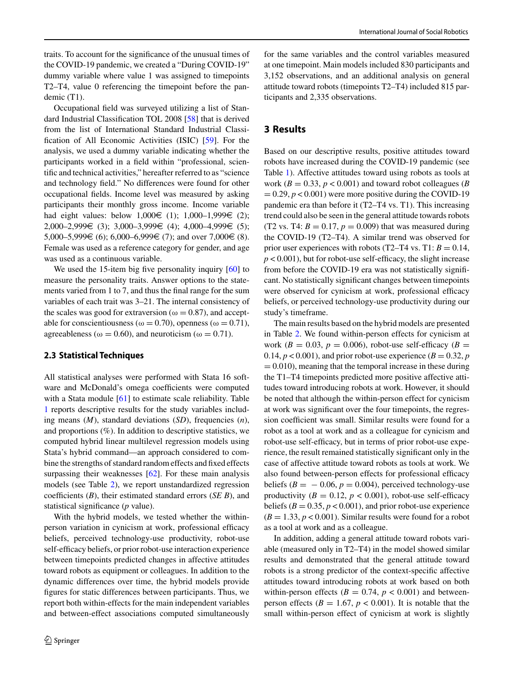traits. To account for the significance of the unusual times of the COVID-19 pandemic, we created a "During COVID-19" dummy variable where value 1 was assigned to timepoints T2–T4, value 0 referencing the timepoint before the pandemic (T1).

Occupational field was surveyed utilizing a list of Standard Industrial Classification TOL 2008 [\[58\]](#page-15-24) that is derived from the list of International Standard Industrial Classification of All Economic Activities (ISIC) [\[59\]](#page-15-25). For the analysis, we used a dummy variable indicating whether the participants worked in a field within "professional, scientific and technical activities," hereafter referred to as "science and technology field." No differences were found for other occupational fields. Income level was measured by asking participants their monthly gross income. Income variable had eight values: below  $1,000 \in (1)$ ;  $1,000-1,999 \in (2)$ ; 2,000–2,999€ (3); 3,000–3,999€ (4); 4,000–4,999€ (5); 5,000–5,999€ (6); 6,000–6,999€ (7); and over 7,000€ (8). Female was used as a reference category for gender, and age was used as a continuous variable.

We used the 15-item big five personality inquiry [\[60\]](#page-15-26) to measure the personality traits. Answer options to the statements varied from 1 to 7, and thus the final range for the sum variables of each trait was 3–21. The internal consistency of the scales was good for extraversion ( $\omega = 0.87$ ), and acceptable for conscientiousness ( $\omega = 0.70$ ), openness ( $\omega = 0.71$ ), agreeableness ( $\omega = 0.60$ ), and neuroticism ( $\omega = 0.71$ ).

# **2.3 Statistical Techniques**

All statistical analyses were performed with Stata 16 software and McDonald's omega coefficients were computed with a Stata module [\[61\]](#page-15-27) to estimate scale reliability. Table [1](#page-4-0) reports descriptive results for the study variables including means (*M*), standard deviations (*SD*), frequencies (*n*), and proportions (%). In addition to descriptive statistics, we computed hybrid linear multilevel regression models using Stata's hybrid command––an approach considered to combine the strengths of standard random effects and fixed effects surpassing their weaknesses [\[62\]](#page-15-28). For these main analysis models (see Table [2\)](#page-6-0), we report unstandardized regression coefficients (*B*), their estimated standard errors (*SE B*), and statistical significance (*p* value).

With the hybrid models, we tested whether the withinperson variation in cynicism at work, professional efficacy beliefs, perceived technology-use productivity, robot-use self-efficacy beliefs, or prior robot-use interaction experience between timepoints predicted changes in affective attitudes toward robots as equipment or colleagues. In addition to the dynamic differences over time, the hybrid models provide figures for static differences between participants. Thus, we report both within-effects for the main independent variables and between-effect associations computed simultaneously for the same variables and the control variables measured at one timepoint. Main models included 830 participants and 3,152 observations, and an additional analysis on general attitude toward robots (timepoints T2–T4) included 815 participants and 2,335 observations.

# **3 Results**

Based on our descriptive results, positive attitudes toward robots have increased during the COVID-19 pandemic (see Table [1\)](#page-4-0). Affective attitudes toward using robots as tools at work ( $B = 0.33$ ,  $p < 0.001$ ) and toward robot colleagues ( $B$  $= 0.29, p < 0.001$ ) were more positive during the COVID-19 pandemic era than before it (T2–T4 vs. T1). This increasing trend could also be seen in the general attitude towards robots (T2 vs. T4:  $B = 0.17$ ,  $p = 0.009$ ) that was measured during the COVID-19 (T2–T4). A similar trend was observed for prior user experiences with robots  $(T2-T4 \text{ vs. } T1: B = 0.14,$  $p < 0.001$ ), but for robot-use self-efficacy, the slight increase from before the COVID-19 era was not statistically significant. No statistically significant changes between timepoints were observed for cynicism at work, professional efficacy beliefs, or perceived technology-use productivity during our study's timeframe.

The main results based on the hybrid models are presented in Table [2.](#page-6-0) We found within-person effects for cynicism at work ( $B = 0.03$ ,  $p = 0.006$ ), robot-use self-efficacy ( $B =$ 0.14,  $p < 0.001$ ), and prior robot-use experience ( $B = 0.32$ ,  $p$ )  $= 0.010$ , meaning that the temporal increase in these during the T1–T4 timepoints predicted more positive affective attitudes toward introducing robots at work. However, it should be noted that although the within-person effect for cynicism at work was significant over the four timepoints, the regression coefficient was small. Similar results were found for a robot as a tool at work and as a colleague for cynicism and robot-use self-efficacy, but in terms of prior robot-use experience, the result remained statistically significant only in the case of affective attitude toward robots as tools at work. We also found between-person effects for professional efficacy beliefs  $(B = -0.06, p = 0.004)$ , perceived technology-use productivity  $(B = 0.12, p < 0.001)$ , robot-use self-efficacy beliefs  $(B = 0.35, p < 0.001)$ , and prior robot-use experience  $(B = 1.33, p < 0.001)$ . Similar results were found for a robot as a tool at work and as a colleague.

In addition, adding a general attitude toward robots variable (measured only in T2–T4) in the model showed similar results and demonstrated that the general attitude toward robots is a strong predictor of the context-specific affective attitudes toward introducing robots at work based on both within-person effects ( $B = 0.74$ ,  $p < 0.001$ ) and betweenperson effects ( $B = 1.67$ ,  $p < 0.001$ ). It is notable that the small within-person effect of cynicism at work is slightly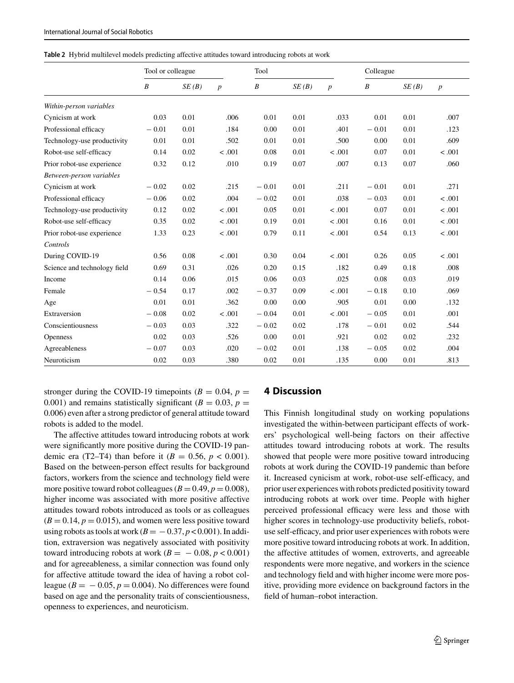<span id="page-6-0"></span>**Table 2** Hybrid multilevel models predicting affective attitudes toward introducing robots at work

|                              | Tool or colleague |       |                  | Tool             |       |                  | Colleague        |       |                  |
|------------------------------|-------------------|-------|------------------|------------------|-------|------------------|------------------|-------|------------------|
|                              | $\boldsymbol{B}$  | SE(B) | $\boldsymbol{p}$ | $\boldsymbol{B}$ | SE(B) | $\boldsymbol{p}$ | $\boldsymbol{B}$ | SE(B) | $\boldsymbol{p}$ |
| Within-person variables      |                   |       |                  |                  |       |                  |                  |       |                  |
| Cynicism at work             | 0.03              | 0.01  | .006             | 0.01             | 0.01  | .033             | 0.01             | 0.01  | .007             |
| Professional efficacy        | $-0.01$           | 0.01  | .184             | 0.00             | 0.01  | .401             | $-0.01$          | 0.01  | .123             |
| Technology-use productivity  | 0.01              | 0.01  | .502             | 0.01             | 0.01  | .500             | 0.00             | 0.01  | .609             |
| Robot-use self-efficacy      | 0.14              | 0.02  | < .001           | 0.08             | 0.01  | < .001           | 0.07             | 0.01  | < .001           |
| Prior robot-use experience   | 0.32              | 0.12  | .010             | 0.19             | 0.07  | .007             | 0.13             | 0.07  | .060             |
| Between-person variables     |                   |       |                  |                  |       |                  |                  |       |                  |
| Cynicism at work             | $-0.02$           | 0.02  | .215             | $-0.01$          | 0.01  | .211             | $-0.01$          | 0.01  | .271             |
| Professional efficacy        | $-0.06$           | 0.02  | .004             | $-0.02$          | 0.01  | .038             | $-0.03$          | 0.01  | < .001           |
| Technology-use productivity  | 0.12              | 0.02  | < .001           | 0.05             | 0.01  | < .001           | 0.07             | 0.01  | < .001           |
| Robot-use self-efficacy      | 0.35              | 0.02  | < .001           | 0.19             | 0.01  | < .001           | 0.16             | 0.01  | < .001           |
| Prior robot-use experience   | 1.33              | 0.23  | < .001           | 0.79             | 0.11  | < .001           | 0.54             | 0.13  | < .001           |
| Controls                     |                   |       |                  |                  |       |                  |                  |       |                  |
| During COVID-19              | 0.56              | 0.08  | < .001           | 0.30             | 0.04  | < .001           | 0.26             | 0.05  | < .001           |
| Science and technology field | 0.69              | 0.31  | .026             | 0.20             | 0.15  | .182             | 0.49             | 0.18  | .008             |
| Income                       | 0.14              | 0.06  | .015             | 0.06             | 0.03  | .025             | 0.08             | 0.03  | .019             |
| Female                       | $-0.54$           | 0.17  | .002             | $-0.37$          | 0.09  | < .001           | $-0.18$          | 0.10  | .069             |
| Age                          | 0.01              | 0.01  | .362             | 0.00             | 0.00  | .905             | 0.01             | 0.00  | .132             |
| Extraversion                 | $-0.08$           | 0.02  | < .001           | $-0.04$          | 0.01  | < .001           | $-0.05$          | 0.01  | .001             |
| Conscientiousness            | $-0.03$           | 0.03  | .322             | $-0.02$          | 0.02  | .178             | $-0.01$          | 0.02  | .544             |
| Openness                     | 0.02              | 0.03  | .526             | 0.00             | 0.01  | .921             | 0.02             | 0.02  | .232             |
| Agreeableness                | $-0.07$           | 0.03  | .020             | $-0.02$          | 0.01  | .138             | $-0.05$          | 0.02  | .004             |
| Neuroticism                  | 0.02              | 0.03  | .380             | 0.02             | 0.01  | .135             | 0.00             | 0.01  | .813             |

stronger during the COVID-19 timepoints ( $B = 0.04$ ,  $p =$ 0.001) and remains statistically significant ( $B = 0.03$ ,  $p =$ 0.006) even after a strong predictor of general attitude toward robots is added to the model.

The affective attitudes toward introducing robots at work were significantly more positive during the COVID-19 pandemic era (T2–T4) than before it ( $B = 0.56$ ,  $p < 0.001$ ). Based on the between-person effect results for background factors, workers from the science and technology field were more positive toward robot colleagues  $(B = 0.49, p = 0.008)$ , higher income was associated with more positive affective attitudes toward robots introduced as tools or as colleagues  $(B = 0.14, p = 0.015)$ , and women were less positive toward using robots as tools at work  $(B = -0.37, p < 0.001)$ . In addition, extraversion was negatively associated with positivity toward introducing robots at work  $(B = -0.08, p < 0.001)$ and for agreeableness, a similar connection was found only for affective attitude toward the idea of having a robot colleague ( $B = -0.05$ ,  $p = 0.004$ ). No differences were found based on age and the personality traits of conscientiousness, openness to experiences, and neuroticism.

# **4 Discussion**

This Finnish longitudinal study on working populations investigated the within-between participant effects of workers' psychological well-being factors on their affective attitudes toward introducing robots at work. The results showed that people were more positive toward introducing robots at work during the COVID-19 pandemic than before it. Increased cynicism at work, robot-use self-efficacy, and prior user experiences with robots predicted positivity toward introducing robots at work over time. People with higher perceived professional efficacy were less and those with higher scores in technology-use productivity beliefs, robotuse self-efficacy, and prior user experiences with robots were more positive toward introducing robots at work. In addition, the affective attitudes of women, extroverts, and agreeable respondents were more negative, and workers in the science and technology field and with higher income were more positive, providing more evidence on background factors in the field of human–robot interaction.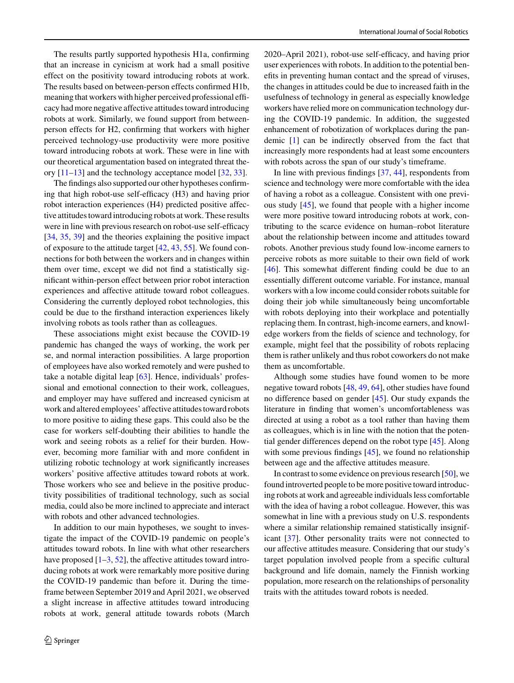The results partly supported hypothesis H1a, confirming that an increase in cynicism at work had a small positive effect on the positivity toward introducing robots at work. The results based on between-person effects confirmed H1b, meaning that workers with higher perceived professional efficacy had more negative affective attitudes toward introducing robots at work. Similarly, we found support from betweenperson effects for H2, confirming that workers with higher perceived technology-use productivity were more positive toward introducing robots at work. These were in line with our theoretical argumentation based on integrated threat theory  $[11-13]$  $[11-13]$  and the technology acceptance model  $[32, 33]$  $[32, 33]$  $[32, 33]$ .

The findings also supported our other hypotheses confirming that high robot-use self-efficacy (H3) and having prior robot interaction experiences (H4) predicted positive affective attitudes toward introducing robots at work. These results were in line with previous research on robot-use self-efficacy [\[34,](#page-15-0) [35,](#page-15-1) [39\]](#page-15-5) and the theories explaining the positive impact of exposure to the attitude target [\[42,](#page-15-21) [43,](#page-15-8) [55\]](#page-15-20). We found connections for both between the workers and in changes within them over time, except we did not find a statistically significant within-person effect between prior robot interaction experiences and affective attitude toward robot colleagues. Considering the currently deployed robot technologies, this could be due to the firsthand interaction experiences likely involving robots as tools rather than as colleagues.

These associations might exist because the COVID-19 pandemic has changed the ways of working, the work per se, and normal interaction possibilities. A large proportion of employees have also worked remotely and were pushed to take a notable digital leap [\[63\]](#page-15-29). Hence, individuals' professional and emotional connection to their work, colleagues, and employer may have suffered and increased cynicism at work and altered employees' affective attitudes toward robots to more positive to aiding these gaps. This could also be the case for workers self-doubting their abilities to handle the work and seeing robots as a relief for their burden. However, becoming more familiar with and more confident in utilizing robotic technology at work significantly increases workers' positive affective attitudes toward robots at work. Those workers who see and believe in the positive productivity possibilities of traditional technology, such as social media, could also be more inclined to appreciate and interact with robots and other advanced technologies.

In addition to our main hypotheses, we sought to investigate the impact of the COVID-19 pandemic on people's attitudes toward robots. In line with what other researchers have proposed  $[1-3, 52]$  $[1-3, 52]$  $[1-3, 52]$  $[1-3, 52]$ , the affective attitudes toward introducing robots at work were remarkably more positive during the COVID-19 pandemic than before it. During the timeframe between September 2019 and April 2021, we observed a slight increase in affective attitudes toward introducing robots at work, general attitude towards robots (March 2020–April 2021), robot-use self-efficacy, and having prior user experiences with robots. In addition to the potential benefits in preventing human contact and the spread of viruses, the changes in attitudes could be due to increased faith in the usefulness of technology in general as especially knowledge workers have relied more on communication technology during the COVID-19 pandemic. In addition, the suggested enhancement of robotization of workplaces during the pandemic [\[1\]](#page-14-0) can be indirectly observed from the fact that increasingly more respondents had at least some encounters with robots across the span of our study's timeframe.

In line with previous findings [\[37,](#page-15-3) [44\]](#page-15-9), respondents from science and technology were more comfortable with the idea of having a robot as a colleague. Consistent with one previous study [\[45\]](#page-15-10), we found that people with a higher income were more positive toward introducing robots at work, contributing to the scarce evidence on human–robot literature about the relationship between income and attitudes toward robots. Another previous study found low-income earners to perceive robots as more suitable to their own field of work [\[46\]](#page-15-11). This somewhat different finding could be due to an essentially different outcome variable. For instance, manual workers with a low income could consider robots suitable for doing their job while simultaneously being uncomfortable with robots deploying into their workplace and potentially replacing them. In contrast, high-income earners, and knowledge workers from the fields of science and technology, for example, might feel that the possibility of robots replacing them is rather unlikely and thus robot coworkers do not make them as uncomfortable.

Although some studies have found women to be more negative toward robots [\[48,](#page-15-13) [49,](#page-15-14) [64\]](#page-15-30), other studies have found no difference based on gender [\[45\]](#page-15-10). Our study expands the literature in finding that women's uncomfortableness was directed at using a robot as a tool rather than having them as colleagues, which is in line with the notion that the potential gender differences depend on the robot type [\[45\]](#page-15-10). Along with some previous findings [\[45\]](#page-15-10), we found no relationship between age and the affective attitudes measure.

In contrast to some evidence on previous research [\[50\]](#page-15-15), we found introverted people to be more positive toward introducing robots at work and agreeable individuals less comfortable with the idea of having a robot colleague. However, this was somewhat in line with a previous study on U.S. respondents where a similar relationship remained statistically insignificant [\[37\]](#page-15-3). Other personality traits were not connected to our affective attitudes measure. Considering that our study's target population involved people from a specific cultural background and life domain, namely the Finnish working population, more research on the relationships of personality traits with the attitudes toward robots is needed.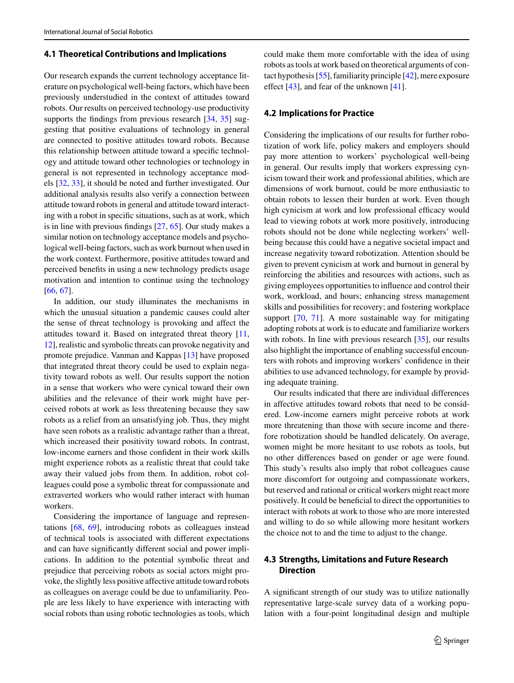### **4.1 Theoretical Contributions and Implications**

Our research expands the current technology acceptance literature on psychological well-being factors, which have been previously understudied in the context of attitudes toward robots. Our results on perceived technology-use productivity supports the findings from previous research [\[34,](#page-15-0) [35\]](#page-15-1) suggesting that positive evaluations of technology in general are connected to positive attitudes toward robots. Because this relationship between attitude toward a specific technology and attitude toward other technologies or technology in general is not represented in technology acceptance models [\[32,](#page-14-29) [33\]](#page-14-30), it should be noted and further investigated. Our additional analysis results also verify a connection between attitude toward robots in general and attitude toward interacting with a robot in specific situations, such as at work, which is in line with previous findings [\[27,](#page-14-24) [65\]](#page-15-31). Our study makes a similar notion on technology acceptance models and psychological well-being factors, such as work burnout when used in the work context. Furthermore, positive attitudes toward and perceived benefits in using a new technology predicts usage motivation and intention to continue using the technology [\[66,](#page-15-32) [67\]](#page-15-33).

In addition, our study illuminates the mechanisms in which the unusual situation a pandemic causes could alter the sense of threat technology is provoking and affect the attitudes toward it. Based on integrated threat theory [\[11,](#page-14-9) [12\]](#page-14-10), realistic and symbolic threats can provoke negativity and promote prejudice. Vanman and Kappas [\[13\]](#page-14-11) have proposed that integrated threat theory could be used to explain negativity toward robots as well. Our results support the notion in a sense that workers who were cynical toward their own abilities and the relevance of their work might have perceived robots at work as less threatening because they saw robots as a relief from an unsatisfying job. Thus, they might have seen robots as a realistic advantage rather than a threat, which increased their positivity toward robots. In contrast, low-income earners and those confident in their work skills might experience robots as a realistic threat that could take away their valued jobs from them. In addition, robot colleagues could pose a symbolic threat for compassionate and extraverted workers who would rather interact with human workers.

Considering the importance of language and representations [\[68,](#page-15-34) [69\]](#page-16-0), introducing robots as colleagues instead of technical tools is associated with different expectations and can have significantly different social and power implications. In addition to the potential symbolic threat and prejudice that perceiving robots as social actors might provoke, the slightly less positive affective attitude toward robots as colleagues on average could be due to unfamiliarity. People are less likely to have experience with interacting with social robots than using robotic technologies as tools, which could make them more comfortable with the idea of using robots as tools at work based on theoretical arguments of contact hypothesis [\[55\]](#page-15-20), familiarity principle [\[42\]](#page-15-21), mere exposure effect [\[43\]](#page-15-8), and fear of the unknown [\[41\]](#page-15-7).

### **4.2 Implications for Practice**

Considering the implications of our results for further robotization of work life, policy makers and employers should pay more attention to workers' psychological well-being in general. Our results imply that workers expressing cynicism toward their work and professional abilities, which are dimensions of work burnout, could be more enthusiastic to obtain robots to lessen their burden at work. Even though high cynicism at work and low professional efficacy would lead to viewing robots at work more positively, introducing robots should not be done while neglecting workers' wellbeing because this could have a negative societal impact and increase negativity toward robotization. Attention should be given to prevent cynicism at work and burnout in general by reinforcing the abilities and resources with actions, such as giving employees opportunities to influence and control their work, workload, and hours; enhancing stress management skills and possibilities for recovery; and fostering workplace support [\[70,](#page-16-1) [71\]](#page-16-2). A more sustainable way for mitigating adopting robots at work is to educate and familiarize workers with robots. In line with previous research [\[35\]](#page-15-1), our results also highlight the importance of enabling successful encounters with robots and improving workers' confidence in their abilities to use advanced technology, for example by providing adequate training.

Our results indicated that there are individual differences in affective attitudes toward robots that need to be considered. Low-income earners might perceive robots at work more threatening than those with secure income and therefore robotization should be handled delicately. On average, women might be more hesitant to use robots as tools, but no other differences based on gender or age were found. This study's results also imply that robot colleagues cause more discomfort for outgoing and compassionate workers, but reserved and rational or critical workers might react more positively. It could be beneficial to direct the opportunities to interact with robots at work to those who are more interested and willing to do so while allowing more hesitant workers the choice not to and the time to adjust to the change.

# **4.3 Strengths, Limitations and Future Research Direction**

A significant strength of our study was to utilize nationally representative large-scale survey data of a working population with a four-point longitudinal design and multiple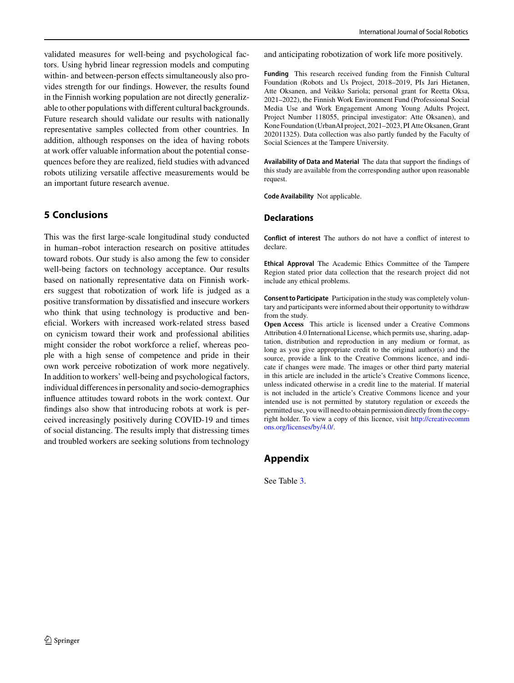validated measures for well-being and psychological factors. Using hybrid linear regression models and computing within- and between-person effects simultaneously also provides strength for our findings. However, the results found in the Finnish working population are not directly generalizable to other populations with different cultural backgrounds. Future research should validate our results with nationally representative samples collected from other countries. In addition, although responses on the idea of having robots at work offer valuable information about the potential consequences before they are realized, field studies with advanced robots utilizing versatile affective measurements would be an important future research avenue.

# **5 Conclusions**

This was the first large-scale longitudinal study conducted in human–robot interaction research on positive attitudes toward robots. Our study is also among the few to consider well-being factors on technology acceptance. Our results based on nationally representative data on Finnish workers suggest that robotization of work life is judged as a positive transformation by dissatisfied and insecure workers who think that using technology is productive and beneficial. Workers with increased work-related stress based on cynicism toward their work and professional abilities might consider the robot workforce a relief, whereas people with a high sense of competence and pride in their own work perceive robotization of work more negatively. In addition to workers' well-being and psychological factors, individual differences in personality and socio-demographics influence attitudes toward robots in the work context. Our findings also show that introducing robots at work is perceived increasingly positively during COVID-19 and times of social distancing. The results imply that distressing times and troubled workers are seeking solutions from technology

and anticipating robotization of work life more positively.

**Funding** This research received funding from the Finnish Cultural Foundation (Robots and Us Project, 2018–2019, PIs Jari Hietanen, Atte Oksanen, and Veikko Sariola; personal grant for Reetta Oksa, 2021–2022), the Finnish Work Environment Fund (Professional Social Media Use and Work Engagement Among Young Adults Project, Project Number 118055, principal investigator: Atte Oksanen), and Kone Foundation (UrbanAI project, 2021–2023, PI Atte Oksanen, Grant 202011325). Data collection was also partly funded by the Faculty of Social Sciences at the Tampere University.

**Availability of Data and Material** The data that support the findings of this study are available from the corresponding author upon reasonable request.

**Code Availability** Not applicable.

# **Declarations**

**Conflict of interest** The authors do not have a conflict of interest to declare.

**Ethical Approval** The Academic Ethics Committee of the Tampere Region stated prior data collection that the research project did not include any ethical problems.

**Consent to Participate** Participation in the study was completely voluntary and participants were informed about their opportunity to withdraw from the study.

**Open Access** This article is licensed under a Creative Commons Attribution 4.0 International License, which permits use, sharing, adaptation, distribution and reproduction in any medium or format, as long as you give appropriate credit to the original author(s) and the source, provide a link to the Creative Commons licence, and indicate if changes were made. The images or other third party material in this article are included in the article's Creative Commons licence, unless indicated otherwise in a credit line to the material. If material is not included in the article's Creative Commons licence and your intended use is not permitted by statutory regulation or exceeds the permitted use, you will need to obtain permission directly from the copyright holder. To view a copy of this licence, visit [http://creativecomm](http://creativecommons.org/licenses/by/4.0/) [ons.org/licenses/by/4.0/.](http://creativecommons.org/licenses/by/4.0/)

# **Appendix**

See Table [3.](#page-10-0)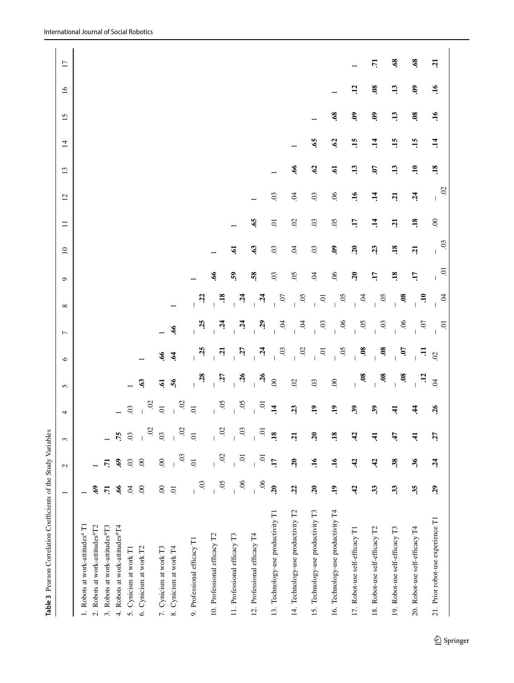|                                            | $\mathbf{c}$   | 3                                       | 4                                       | 5                                      | $\circ$                                                                                            | $\overline{ }$                                                                                                                | $\infty$                                                                                                                | $\circ$                                                                                                                       | $\overline{10}$     | $\Box$              | 12                   | 13                  | $\overline{1}$      | 15                  | 16                  | $\overline{17}$ |
|--------------------------------------------|----------------|-----------------------------------------|-----------------------------------------|----------------------------------------|----------------------------------------------------------------------------------------------------|-------------------------------------------------------------------------------------------------------------------------------|-------------------------------------------------------------------------------------------------------------------------|-------------------------------------------------------------------------------------------------------------------------------|---------------------|---------------------|----------------------|---------------------|---------------------|---------------------|---------------------|-----------------|
|                                            |                |                                         |                                         |                                        |                                                                                                    |                                                                                                                               |                                                                                                                         |                                                                                                                               |                     |                     |                      |                     |                     |                     |                     |                 |
| Ş.                                         |                |                                         |                                         |                                        |                                                                                                    |                                                                                                                               |                                                                                                                         |                                                                                                                               |                     |                     |                      |                     |                     |                     |                     |                 |
| $\overline{5}$                             | $\mathbf{r}$   | $\overline{a}$                          |                                         |                                        |                                                                                                    |                                                                                                                               |                                                                                                                         |                                                                                                                               |                     |                     |                      |                     |                     |                     |                     |                 |
| $\mathcal{P}$                              | $\mathbf{69}$  |                                         |                                         |                                        |                                                                                                    |                                                                                                                               |                                                                                                                         |                                                                                                                               |                     |                     |                      |                     |                     |                     |                     |                 |
| Ŕ.                                         | 03             |                                         | $\overline{0}$                          |                                        |                                                                                                    |                                                                                                                               |                                                                                                                         |                                                                                                                               |                     |                     |                      |                     |                     |                     |                     |                 |
| $\infty$                                   | $\infty$       | $\mathsf I$                             |                                         | $\mathbf{c}_3$                         |                                                                                                    |                                                                                                                               |                                                                                                                         |                                                                                                                               |                     |                     |                      |                     |                     |                     |                     |                 |
| $\odot$                                    | 00             |                                         |                                         | $\mathbf{5}$                           | $\mathcal{P}$                                                                                      |                                                                                                                               |                                                                                                                         |                                                                                                                               |                     |                     |                      |                     |                     |                     |                     |                 |
| $\overline{0}$                             | 03             | $\widetilde{\omega}$                    | $\ddot{\circ}$                          | $\tilde{56}$                           | $\hat{\mathbf{z}}$                                                                                 | $\mathcal{L}$                                                                                                                 |                                                                                                                         |                                                                                                                               |                     |                     |                      |                     |                     |                     |                     |                 |
| 03<br>$\overline{\phantom{a}}$             | $\overline{0}$ | $\overline{c}$                          | $\overline{c}$                          |                                        | $\ddot{5}$                                                                                         | 35                                                                                                                            | $\ddot{c}$                                                                                                              |                                                                                                                               |                     |                     |                      |                     |                     |                     |                     |                 |
| $\overline{50}$                            | 02             | $\widetilde{\mathrm{S}}$<br>$\mathsf I$ |                                         |                                        |                                                                                                    |                                                                                                                               |                                                                                                                         | $\mathcal{P}$                                                                                                                 |                     |                     |                      |                     |                     |                     |                     |                 |
| $\overline{6}$<br>$\overline{\phantom{a}}$ | $\Xi$          | $\rm g$<br>$\vert$                      | $\overline{1}$                          |                                        |                                                                                                    |                                                                                                                               |                                                                                                                         | $\mathbf{S}$                                                                                                                  | <b>e</b>            |                     |                      |                     |                     |                     |                     |                 |
| $\sim$                                     | $\overline{c}$ | ō                                       |                                         |                                        |                                                                                                    |                                                                                                                               |                                                                                                                         | 58                                                                                                                            | $\mathbf{c}$        | $\ddot{\mathbf{e}}$ |                      |                     |                     |                     |                     |                 |
| $\overline{20}$                            | LT.            | .18                                     | $\overline{1}$                          |                                        |                                                                                                    |                                                                                                                               |                                                                                                                         | $\overline{0}$                                                                                                                | $03$                | $\Xi$               | $\ddot{\mathrm{c}}$  |                     |                     |                     |                     |                 |
| 22                                         | 20             | ឆ្                                      | 23                                      | $\mathcal{O}$                          |                                                                                                    |                                                                                                                               |                                                                                                                         | $\overline{50}$                                                                                                               | Ŕ,                  | $\mathfrak{S}$      | Ŕ.                   | $\mathfrak{g}$      |                     |                     |                     |                 |
| $\overline{.20}$                           | 16             | $\tilde{a}$                             | $\ddot{ }$                              | 03                                     |                                                                                                    |                                                                                                                               |                                                                                                                         | $\ddot{q}$                                                                                                                    | $\overline{0}$      | $\ddot{\mathrm{c}}$ | $\ddot{\mathrm{c}}$  | 62                  | $\ddot{\mathbf{e}}$ |                     |                     |                 |
| $\ddot{a}$                                 | 16             | $\overline{.18}$                        | $\ddot{ }$                              | $\odot$                                |                                                                                                    |                                                                                                                               |                                                                                                                         | $\infty$                                                                                                                      | $\ddot{\mathbf{e}}$ | $\overline{0}$      | $\mathfrak{S}$       | $\ddot{\mathbf{e}}$ | $\mathcal{L}$       | 39.                 |                     |                 |
| $\ddot{a}$                                 | 42             | $\ddot{ }$                              | $\mathbf{e}$                            |                                        |                                                                                                    |                                                                                                                               |                                                                                                                         | $\overline{c}$                                                                                                                | $\mathbf{a}$        | H.                  | èŗ.                  | $\ddot{13}$         | $\ddot{15}$         | 3                   | $\ddot{12}$         |                 |
| 33                                         | 42             | न्                                      | $\mathbf{3}$                            |                                        |                                                                                                    |                                                                                                                               |                                                                                                                         | $\overline{H}$                                                                                                                | 23                  | $\ddot{=}$          | $\ddot{=}$           | CO.                 | $\ddot{=}$          | $\mathbf{\hat{s}}$  | $\boldsymbol{0}$    | $\overline{5}$  |
| 33                                         | 38             | <u>त्रं</u>                             | न्                                      |                                        | Ś.                                                                                                 |                                                                                                                               | $\ddot{\mathbf{8}}$                                                                                                     | $\ddot{18}$                                                                                                                   | $\overline{18}$     | <b>E</b>            | Ľ.                   | $\ddot{13}$         | $\ddot{15}$         | $\ddot{1}$          | 13                  | $\mathbf{63}$   |
| 35                                         | 36             | न्                                      | $\dot{A}$                               | $\ddot{c}$                             | Ę                                                                                                  |                                                                                                                               | $\Xi$                                                                                                                   | $\overline{L}$                                                                                                                | $\mathbf{z}$        | $\ddot{.}$          | $\ddot{a}$           | $\ddot{=}$          | 15                  | $\ddot{\mathbf{6}}$ | $\ddot{\mathbf{e}}$ | $\mathcal{L}$   |
| 29                                         | 24             | 57                                      | $\frac{26}{5}$                          | $\beta$                                | $\mathbb S$                                                                                        | ō                                                                                                                             | Š                                                                                                                       | ā                                                                                                                             | $\overline{0}$      | $\odot$             | $\widetilde{\omega}$ | $\overline{18}$     | $\ddot{1}$          | $\ddot{=}$          | $\overline{16}$     | ភ្              |
|                                            |                |                                         | $\frac{60}{10}$<br>.75<br>$\frac{1}{2}$ | 50.<br>$50$ .<br>$\frac{02}{01}$<br>ō. | $-36$<br>$-36$<br>$-36$<br>$\frac{80}{10}$<br>$\frac{1}{2}$<br>$\ddot{\mathbf{8}}$<br>$\mathbf{a}$ | 80.<br>$\ddot{\mathbf{8}}$<br>$\ddot{z}$<br>$\ddot{\circ}$<br>50<br>$\ddot{\mathrm{s}}$<br>$\ddot{\circ}$<br>ō.<br>$\ddot{a}$ | 90.<br>50.<br>$\ddot{\text{o}}$<br>মৃ<br>মৃ<br>Ŕ<br>ਤ੍<br>$\ddot{0}$ .<br>$\frac{8}{1}$<br>$\overline{c}$<br>$\ddot{a}$ | $\overline{18}$<br>50<br>$rac{50}{1}$<br>$\overline{0}$<br>6 <sup>1</sup><br>50<br>$\ddot{v}$<br>$\ddot{c}$<br>$\overline{5}$ |                     |                     |                      |                     |                     |                     |                     |                 |

<span id="page-10-0"></span>Table 3 Pearson Correlation Coefficients of the Study Variables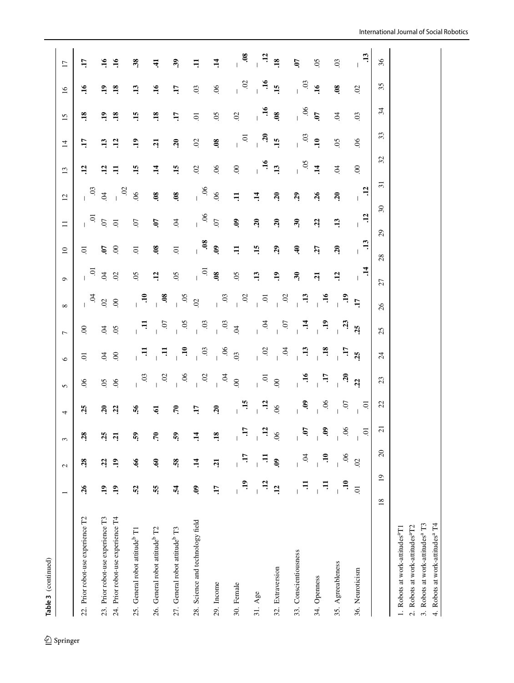| Table 3 (continued)                        |                              |                  |                                                                       |                                              |                                          |                                                                |                                         |                                            |                 |                     |                                |                      |                               |                         |                     |                    |                                                                                                                            |
|--------------------------------------------|------------------------------|------------------|-----------------------------------------------------------------------|----------------------------------------------|------------------------------------------|----------------------------------------------------------------|-----------------------------------------|--------------------------------------------|-----------------|---------------------|--------------------------------|----------------------|-------------------------------|-------------------------|---------------------|--------------------|----------------------------------------------------------------------------------------------------------------------------|
|                                            |                              | $\mathbf{c}$     | 3                                                                     | 4                                            | $\mathbf{r}$                             | $\circ$                                                        | $\overline{z}$                          | $\infty$                                   | $\sigma$        | $\mathbf{C}$        | $\Box$                         | $\overline{12}$      | 13                            | $\overline{4}$          | 15                  | 16                 | $\overline{17}$                                                                                                            |
| 22. Prior robot-use experience T2          | $\mathfrak{F}$               | 28               | 28                                                                    | 25                                           | 66                                       | S                                                              | $\rm 8$                                 |                                            |                 | ā.                  |                                |                      | 12                            | H.                      | $\overline{18}$     | $\ddot{=}$         | H.                                                                                                                         |
| 23. Prior robot-use experience T3          | er.                          | 22               |                                                                       |                                              | $\overline{50}$                          | B                                                              | B                                       | 3800                                       | $5\frac{5}{10}$ |                     | $\frac{1}{2}$ or $\frac{1}{2}$ | $^{56}$ $^{\circ}\,$ |                               | $\ddot{1}$              | $\mathbf{e}$        |                    | $\Xi$                                                                                                                      |
| 24. Prior robot-use experience T4          | er.                          | $\ddot{ }$       | $3\overline{3}$                                                       | $3\overline{3}$                              | $\mathfrak{S}$                           | $\mathbf{S}$                                                   | $\mathfrak{S}$                          |                                            | $\mathfrak{S}$  | 58                  |                                | $\ddot{\circ}$       | $\frac{2}{7}$ $\frac{1}{7}$   | $\ddot{5}$              | $\overline{18}$     | 28                 | $\ddot{=}$                                                                                                                 |
| 25. General robot attitude <sup>b</sup> T1 | $\ddot{c}$                   | $\ddot{\bm{66}}$ | S)                                                                    | 56                                           | $\overline{c}$                           | Ę                                                              | Ę                                       | $\epsilon$                                 | $\overline{5}$  | $\overline{c}$      | $\overline{0}$                 | $\infty$             | 15                            | $\ddot{=}$              | $\overline{15}$     | $\ddot{13}$        | $\ddot{3}$                                                                                                                 |
| 26. General robot attitude <sup>b</sup> T2 | 55.                          | Ş.               | ۶.                                                                    | ভ্                                           | $\frac{1}{2}$                            | $\overline{a}$                                                 | $\frac{1}{2}$                           | $\ddot{\bullet}$                           | 12              | $\ddot{\mathbf{8}}$ | É.                             | $\mathbf{8}$         | $\mathbf{14}$                 | $\ddot{a}$              | $\ddot{18}$         | $\overline{16}$    | न                                                                                                                          |
| 27. General robot attitude <sup>b</sup> T3 | પું                          | 58.              | $\mathbf{S}$                                                          | ۶.                                           |                                          |                                                                |                                         |                                            | $\overline{0}$  | $\overline{0}$      | $\ddot{q}$                     | $\mathbf{8}$         | $\ddot{15}$                   | $\overline{20}$         | H.                  | H.                 | శి                                                                                                                         |
| 28. Science and technology field           | Q.                           | $\vec{1}$        | $\ddot{=}$                                                            | LT.                                          | $-66$                                    | $\begin{array}{c}\n\bullet \\ \bullet \\ \bullet\n\end{array}$ | $\begin{array}{c}\n5 \\ 1\n\end{array}$ | $-0.05$<br>0.2<br>0.3<br>0.3<br>0.3<br>0.1 | $\overline{1}$  | 60.                 | $\mathbf{L}$                   | $\mathbf{L}$         | $\mathcal{O}$                 | $\mathcal{S}$           | $\overline{c}$      | 03                 | Ę                                                                                                                          |
| 29. Income                                 | H.                           | <u>ដ</u>         | $\overline{18}$                                                       | $\mathbf{S}$                                 | $600 - 100$                              | $\frac{8}{1}$                                                  | $\frac{3}{2}$                           |                                            | $rac{6}{6}$     |                     | $^{10}$ .                      | $^{66}$              | 66                            | $\mathbf{8}$            | $\overline{0}$      | $90$               | न                                                                                                                          |
| 30. Female                                 | $\ddot{ }$                   | JT.              |                                                                       |                                              |                                          |                                                                |                                         |                                            | $\overline{5}$  | $\Xi$               | $\ddot{\mathbf{e}}$            | Ħ.                   | $\odot$                       | $\overline{5}$          | $\overline{c}$      |                    |                                                                                                                            |
| 31. Age                                    | $\ddot{5}$                   |                  | $\frac{1}{2}$ $\frac{1}{2}$                                           | $\begin{array}{c} 4.16 \\ -1.16 \end{array}$ | $\overline{5}$                           |                                                                | $\sum_{i=1}^{n}$                        |                                            | 13              | $\mathbf{5}$        | $\mathbf{a}$                   | $\ddot{=}$           | $\frac{16}{13}$               | $\overline{\mathbf{S}}$ | $\frac{80}{9}$ .    | $-32$              | $\begin{array}{cccc}\n & \bullet & \bullet & \bullet & \bullet \\  & & \bullet & \bullet & \bullet & \bullet\n\end{array}$ |
| 32. Extraversion                           | $\overline{12}$              | $\ddot{6}$       | $\mathfrak{G}$                                                        | $\mathcal{S}$                                | $\odot$                                  | $\frac{3}{1}$ = $\frac{3}{1}$                                  | $\overline{c}$                          | $\frac{1}{2}$                              | $\mathbf{e}$    | 29                  | $\overline{20}$                | $\mathbf{S}$         |                               | $\ddot{15}$             |                     | $\mathbf{H}$       |                                                                                                                            |
| 33. Conscientiousness                      | Ę                            | $\ddot{9}$       |                                                                       | $\mathbf{L}$                                 | $\begin{array}{c}\n16 \\ 1\n\end{array}$ | $\begin{array}{c} 1 \end{array}$                               | $\frac{1}{4}$                           |                                            | $\ddot{\bm{r}}$ | ₹                   | $\widetilde{\mathcal{E}}$      | $\mathbf{z}_2$       | $\frac{1}{3}$ = $\frac{3}{4}$ |                         | $\mathbf{L}$        | $\frac{91}{10}$    | Ġ.                                                                                                                         |
| 34. Openness                               | $\Xi$                        | $\Xi$            |                                                                       | $\ddot{6}$ .                                 | H.                                       | $\ddot{.}18$                                                   | $\ddot{ }$                              | $\frac{1}{1}$ = $\frac{1}{1}$              | $\overline{z}$  | 27                  | 22                             | $\overline{26}$      |                               | $\frac{03}{10}$         | $\frac{\omega}{90}$ |                    | S.                                                                                                                         |
| 35. Agreeableness                          | $\ddot{=}$<br>$\overline{1}$ | 06               | $\frac{1}{2}$ $\frac{1}{2}$ $\frac{1}{2}$ $\frac{1}{2}$ $\frac{1}{2}$ | $\frac{1}{10}$                               | $\frac{3}{2}$                            | $\overline{H}$ is                                              | ್ಲಿ ಚಿ                                  | $F_{\rm eff}$                              | 12              | $\mathbf{a}$        | $\ddot{1}$                     | $\overline{a}$       | $\overline{6}$                | $\mathfrak{S}$          | $\beta$             | $\boldsymbol{0.8}$ | S.                                                                                                                         |
| 36. Neuroticism                            | 5.                           | $\overline{0}$   |                                                                       | $10^{1}$                                     |                                          |                                                                |                                         |                                            | $\ddot{=}$      | $\frac{1}{1}$       | $\frac{12}{1}$                 | $\frac{1}{1}$        | $\odot$                       | $\infty$                | $\overline{0}$      | $\mathcal{O}$      | <u>вета</u><br>$\perp$                                                                                                     |

 $\vec{r}$ 

**.08 .12**

 $\overline{0}$ 

 $\overline{0}$ 

**.07**

 $27$ 

 $\sqrt{26}$ 

 $25$ 

 $\overline{24}$ 

 $23$ 

 $22$ 

 $\overline{21}$ 

 $\infty$ 

 $\overline{19}$ 

 $18\,$ 

 $28$ 

**.13**

36

 $35$ 

 $34$ 

 $33$ 

 $32$ 

 $\overline{31}$ 

 $30\,$ 

 $29$ 

 $\Gamma$ 

 $\overline{L}$ 

 $\begin{array}{c} 16 \\ 16 \end{array}$ 

 $38$ 

 $\ddot{=}$ 

 $\ddot{\bm{3}}$ 

 $\Xi$ 

2. Robots at work-attitudes<sup>a</sup>T2 3. Robots at work-attitudesa T3

1. Robots at work-attitudesaT1 2. Robots at work-attitudes<sup>a</sup>T2

1. Robots at work-attitudes<sup>a</sup>T1

3. Robots at work-attitudes<sup>a</sup> T3<br>4. Robots at work-attitudes<sup>a</sup> T4 4. Robots at work-attitudesa T4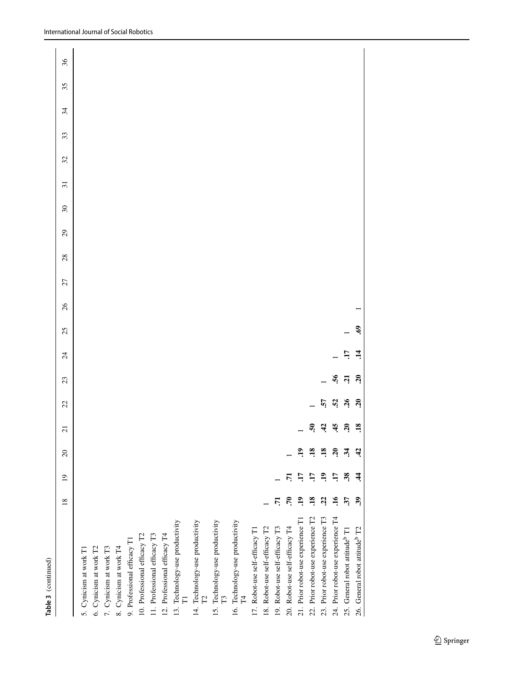| Table 3 (continued)                             |                 |                 |                 |                  |                       |            |                |     |    |    |    |    |                          |                 |    |    |    |    |    |
|-------------------------------------------------|-----------------|-----------------|-----------------|------------------|-----------------------|------------|----------------|-----|----|----|----|----|--------------------------|-----------------|----|----|----|----|----|
|                                                 | 18              | $\overline{19}$ | $\overline{c}$  | $\overline{c}$   | 22                    | 23         | $\overline{c}$ | 25  | 26 | 27 | 28 | 29 | $\overline{\mathcal{E}}$ | $\overline{31}$ | 32 | 33 | 34 | 35 | 36 |
| 5. Cynicism at work T1                          |                 |                 |                 |                  |                       |            |                |     |    |    |    |    |                          |                 |    |    |    |    |    |
| 6. Cynicism at work T2                          |                 |                 |                 |                  |                       |            |                |     |    |    |    |    |                          |                 |    |    |    |    |    |
| 7. Cynicism at work T3                          |                 |                 |                 |                  |                       |            |                |     |    |    |    |    |                          |                 |    |    |    |    |    |
| 8. Cynicism at work T4                          |                 |                 |                 |                  |                       |            |                |     |    |    |    |    |                          |                 |    |    |    |    |    |
| 9. Professional efficacy T1                     |                 |                 |                 |                  |                       |            |                |     |    |    |    |    |                          |                 |    |    |    |    |    |
| 10. Professional efficacy T2                    |                 |                 |                 |                  |                       |            |                |     |    |    |    |    |                          |                 |    |    |    |    |    |
| 11. Professional efficacy T3                    |                 |                 |                 |                  |                       |            |                |     |    |    |    |    |                          |                 |    |    |    |    |    |
| 12. Professional efficacy T4                    |                 |                 |                 |                  |                       |            |                |     |    |    |    |    |                          |                 |    |    |    |    |    |
| 13. Technology-use productivity                 |                 |                 |                 |                  |                       |            |                |     |    |    |    |    |                          |                 |    |    |    |    |    |
| 14. Technology-use productivity<br>$\mathbb{R}$ |                 |                 |                 |                  |                       |            |                |     |    |    |    |    |                          |                 |    |    |    |    |    |
| 15. Technology-use productivity<br>$\mathbb{E}$ |                 |                 |                 |                  |                       |            |                |     |    |    |    |    |                          |                 |    |    |    |    |    |
| 16. Technology-use productivity<br>H<br>H       |                 |                 |                 |                  |                       |            |                |     |    |    |    |    |                          |                 |    |    |    |    |    |
| 17. Robot-use self-efficacy T1                  |                 |                 |                 |                  |                       |            |                |     |    |    |    |    |                          |                 |    |    |    |    |    |
| 18. Robot-use self-efficacy T2                  |                 |                 |                 |                  |                       |            |                |     |    |    |    |    |                          |                 |    |    |    |    |    |
| 19. Robot-use self-efficacy T3                  | 5               |                 |                 |                  |                       |            |                |     |    |    |    |    |                          |                 |    |    |    |    |    |
| 20. Robot-use self-efficacy T4                  | ۶.              | 5               |                 |                  |                       |            |                |     |    |    |    |    |                          |                 |    |    |    |    |    |
| 21. Prior robot-use experience T1               | $\ddot{ }$      | Ë               | $\mathbf{a}$    |                  |                       |            |                |     |    |    |    |    |                          |                 |    |    |    |    |    |
| 22. Prior robot-use experience T2               | $\ddot{18}$     | E               | $\overline{18}$ | ត្               |                       |            |                |     |    |    |    |    |                          |                 |    |    |    |    |    |
| 23. Prior robot-use experience T3               | $\ddot{c}$      | <u>۾</u>        | $\ddot{18}$     | ਼੍ਰ              | 57                    |            |                |     |    |    |    |    |                          |                 |    |    |    |    |    |
| 24. Prior robot-use experience T4               | $\overline{16}$ | F.              | ຊ               | 45               | $\ddot{52}$           | 56         |                |     |    |    |    |    |                          |                 |    |    |    |    |    |
| 25. General robot attitude <sup>b</sup> T1      | 57              | 38              | र्नु            | <u>នុ</u>        | $\tilde{\mathcal{L}}$ | $\ddot{a}$ | H.             |     |    |    |    |    |                          |                 |    |    |    |    |    |
| 26. General robot attitude <sup>b</sup> T2      | 39              | र्च             | વે              | $\overline{.18}$ | ຊ                     | នុ         | नं             | ලි. |    |    |    |    |                          |                 |    |    |    |    |    |
|                                                 |                 |                 |                 |                  |                       |            |                |     |    |    |    |    |                          |                 |    |    |    |    |    |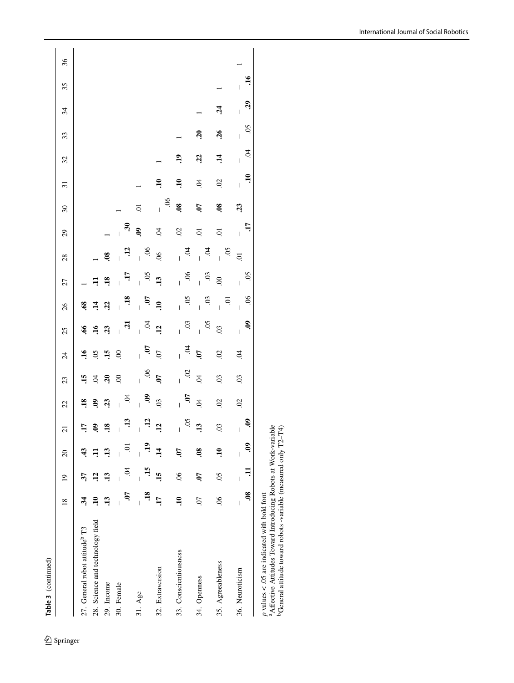| Table 3 (continued)                                                                                                                                                                                         |                                                 |                               |                                                 |                     |                          |                     |                      |                          |                                       |                      |                                   |                                                       |                                  |                     |            |                                   |                      |                 |    |
|-------------------------------------------------------------------------------------------------------------------------------------------------------------------------------------------------------------|-------------------------------------------------|-------------------------------|-------------------------------------------------|---------------------|--------------------------|---------------------|----------------------|--------------------------|---------------------------------------|----------------------|-----------------------------------|-------------------------------------------------------|----------------------------------|---------------------|------------|-----------------------------------|----------------------|-----------------|----|
|                                                                                                                                                                                                             | $\frac{8}{18}$                                  | $\overline{0}$                | $\overline{c}$                                  | $\overline{c}$      | 22                       | 23                  | $\overline{c}$       | 25                       | 26                                    | 27                   | 28                                | 29                                                    | $\overline{\mathcal{E}}$         | $\overline{31}$     | 32         | 33                                | 34                   | 35              | 36 |
| 27. General robot attitude <sup>b</sup> T3                                                                                                                                                                  | $\ddot{3}$                                      | 37                            | $\ddot{4}$                                      | H.                  | $\overline{18}$          | $\overline{15}$     | $\mathbf{H}$         | S.                       | $\mathbf{69}$                         |                      |                                   |                                                       |                                  |                     |            |                                   |                      |                 |    |
| 28. Science and technology field                                                                                                                                                                            | $\Xi$                                           | $\ddot{5}$                    |                                                 | ತಿ                  | $\ddot{\mathbf{e}}$      | S.                  | $\overline{50}$      | $\overline{16}$          | $\ddot{=}$                            |                      |                                   |                                                       |                                  |                     |            |                                   |                      |                 |    |
| 29. Income                                                                                                                                                                                                  | $\ddot{13}$                                     | $\ddot{1}$                    | $\ddot{13}$                                     | $\ddot{3}$          | $\ddot{3}$               | $\mathbf{S}$        | $\ddot{5}$           | $\ddot{3}$               | 22                                    | $\overline{18}$      | 8Ò.                               |                                                       |                                  |                     |            |                                   |                      |                 |    |
| 30. Female                                                                                                                                                                                                  | 50.                                             | S.                            | Ş                                               | $\ddot{1}$          | $\dot{5}$                | $\infty$            | $\odot$              | ą                        | .18<br>$\overline{1}$                 | F.                   | $\ddot{c}$                        | $\ddot{\mathbf{r}}$<br>$\begin{array}{c} \end{array}$ |                                  |                     |            |                                   |                      |                 |    |
| 31. Age                                                                                                                                                                                                     | $\overline{18}$<br>$\overline{\phantom{a}}$     | $\ddot{15}$<br>I              | $\ddot{ }$<br>$\begin{array}{c} \end{array}$    | $\frac{12}{1}$<br>I | ê,<br>$\overline{1}$     | $90^{\circ}$<br>Ī   | Ś.<br>$\overline{1}$ | Ŕ<br>$\overline{1}$      | Ś.<br>$\overline{1}$                  | $50$ .<br>Ī          | 90 <sup>°</sup><br>$\overline{1}$ | S.                                                    | Ξ.                               |                     |            |                                   |                      |                 |    |
| 32. Extraversion                                                                                                                                                                                            | $\overline{17}$                                 | 45                            | $\vec{a}$                                       | $\overline{12}$     | $\overline{0}$           | Ć,                  | 50.                  | $\ddot{5}$               | $\Xi$                                 | $\ddot{13}$          | $\frac{8}{2}$                     | S.                                                    | $\overline{6}$<br>$\overline{1}$ | $\ddot{=}$          |            |                                   |                      |                 |    |
| 33. Conscientiousness                                                                                                                                                                                       | $\overline{10}$                                 | $\frac{90}{2}$                | 50.                                             | $\overline{50}$     | $\ddot{6}$<br>Ĭ.         | $\ddot{\mathrm{S}}$ | $\dot{q}$<br>Ĺ       | $\ddot{\mathrm{c}}$<br>Ĺ | 50.                                   | 96<br>Ĺ              | Ŕ.<br>$\overline{1}$              | $\mathfrak{S}$                                        | 80.                              | $\ddot{=}$          | $\ddot{a}$ |                                   |                      |                 |    |
| 34. Openness                                                                                                                                                                                                | $\overline{0}$                                  | Ś.                            | $\ddot{\mathbf{6}}$                             | $\ddot{13}$         | $\ddot{\mathrm{S}}$      | Þ.                  | Ć,                   | 50                       | $\ddot{\mathrm{c}}$<br>$\overline{1}$ | 60<br>$\overline{1}$ | $\dot{q}$<br>$\overline{1}$       | $\Xi$                                                 | Ś.                               | Þ.                  | 22         | $\mathbf{S}$                      |                      |                 |    |
| 35. Agreeableness                                                                                                                                                                                           | $\sim$                                          | $\widetilde{S}0$ .            | $\ddot{=}$                                      | $\ddot{\mathrm{c}}$ | $\overline{0}$           | $\mathcal{S}$       | $\overline{0}$       | $\overline{0}$           | ō.<br>$\overline{1}$                  | $\mathcal{S}$        | $50$ .<br>$\overline{1}$          | $\Xi$                                                 | 80.                              | $\ddot{\mathrm{S}}$ | $\ddot{1}$ | $\frac{26}{5}$                    | $\ddot{z}$           |                 |    |
| 36. Neuroticism                                                                                                                                                                                             | $\ddot{\mathbf{6}}$<br>$\overline{\phantom{a}}$ | Ę<br>$\overline{\phantom{a}}$ | $\ddot{\mathbf{e}}$<br>$\overline{\phantom{a}}$ | Q.                  | $\overline{\mathcal{S}}$ | $\mathcal{L}$       | S.                   | S.<br>L                  | 90.<br>L                              | $\overline{50}$<br>Ĺ | $\overline{a}$                    | J.<br>$\overline{1}$                                  | $\ddot{c}$                       | $\Xi$               | Ŕ.<br>L    | $\overline{50}$<br>$\overline{1}$ | 29<br>$\overline{1}$ | $\ddot{=}$<br>I |    |
| <sup>a</sup> Affective Attitudes Toward Introducing Robots at Work-variable<br><sup>b</sup> General attitude toward robots -variable (measured only T2-T4)<br>$p$ values < .05 are indicated with bold font |                                                 |                               |                                                 |                     |                          |                     |                      |                          |                                       |                      |                                   |                                                       |                                  |                     |            |                                   |                      |                 |    |

 $\underline{\textcircled{\tiny 2}}$  Springer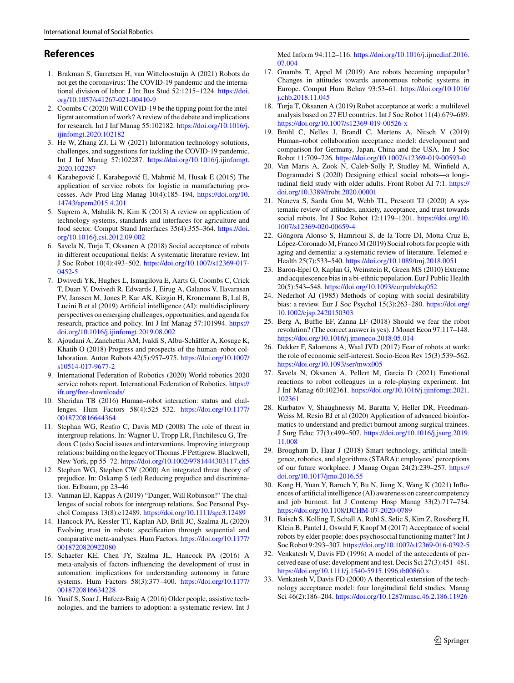# **References**

- <span id="page-14-0"></span>1. Brakman S, Garretsen H, van Witteloostuijn A (2021) Robots do not get the coronavirus: The COVID-19 pandemic and the interna[tional division of labor. J Int Bus Stud 52:1215–1224.](https://doi.org/10.1057/s41267-021-00410-9) https://doi. org/10.1057/s41267-021-00410-9
- <span id="page-14-31"></span>2. Coombs C (2020) Will COVID-19 be the tipping point for the intelligent automation of work? A review of the debate and implications [for research. Int J Inf Manag 55:102182.](https://doi.org/10.1016/j.ijinfomgt.2020.102182) https://doi.org/10.1016/j. ijinfomgt.2020.102182
- <span id="page-14-1"></span>3. He W, Zhang ZJ, Li W (2021) Information technology solutions, challenges, and suggestions for tackling the COVID-19 pandemic. Int J Inf Manag 57:102287. [https://doi.org/10.1016/j.ijinfomgt.](https://doi.org/10.1016/j.ijinfomgt.2020.102287) 2020.102287
- <span id="page-14-2"></span>4. Karabegović I, Karabegović E, Mahmić M, Husak E (2015) The application of service robots for logistic in manufacturing pro[cesses. Adv Prod Eng Manag 10\(4\):185–194.](https://doi.org/10.14743/apem2015.4.201) https://doi.org/10. 14743/apem2015.4.201
- <span id="page-14-3"></span>5. Suprem A, Mahalik N, Kim K (2013) A review on application of technology systems, standards and interfaces for agriculture and [food sector. Comput Stand Interfaces 35\(4\):355–364.](https://doi.org/10.1016/j.csi.2012.09.002) https://doi. org/10.1016/j.csi.2012.09.002
- <span id="page-14-4"></span>6. Savela N, Turja T, Oksanen A (2018) Social acceptance of robots in different occupational fields: A systematic literature review. Int J Soc Robot 10(4):493–502. [https://doi.org/10.1007/s12369-017-](https://doi.org/10.1007/s12369-017-0452-5) 0452-5
- <span id="page-14-5"></span>7. Dwivedi YK, Hughes L, Ismagilova E, Aarts G, Coombs C, Crick T, Duan Y, Dwivedi R, Edwards J, Eirug A, Galanos V, Ilavarasan PV, Janssen M, Jones P, Kar AK, Kizgin H, Kronemann B, Lal B, Lucini B et al (2019) Artificial intelligence (AI): multidisciplinary perspectives on emerging challenges, opportunities, and agenda for [research, practice and policy. Int J Inf Manag 57:101994.](https://doi.org/10.1016/j.ijinfomgt.2019.08.002) https:// doi.org/10.1016/j.ijinfomgt.2019.08.002
- <span id="page-14-6"></span>8. Ajoudani A, Zanchettin AM, Ivaldi S, Albu-Schäffer A, Kosuge K, Khatib O (2018) Progress and prospects of the human–robot col[laboration. Auton Robots 42\(5\):957–975.](https://doi.org/10.1007/s10514-017-9677-2) https://doi.org/10.1007/ s10514-017-9677-2
- <span id="page-14-7"></span>9. International Federation of Robotics (2020) World robotics 2020 [service robots report. International Federation of Robotics.](https://ifr.org/free-downloads/) https:// ifr.org/free-downloads/
- <span id="page-14-8"></span>10. Sheridan TB (2016) Human–robot interaction: status and chal[lenges. Hum Factors 58\(4\):525–532.](https://doi.org/10.1177/0018720816644364) https://doi.org/10.1177/ 0018720816644364
- <span id="page-14-9"></span>11. Stephan WG, Renfro C, Davis MD (2008) The role of threat in intergroup relations. In: Wagner U, Tropp LR, Finchilescu G, Tredoux C (eds) Social issues and interventions. Improving intergroup relations: building on the legacy of Thomas .F Pettigrew. Blackwell, New York, pp 55–72. <https://doi.org/10.1002/9781444303117.ch5>
- <span id="page-14-10"></span>12. Stephan WG, Stephen CW (2000) An integrated threat theory of prejudice. In: Oskamp S (ed) Reducing prejudice and discrimination. Erlbaum, pp 23–46
- <span id="page-14-11"></span>13. Vanman EJ, Kappas A (2019) "Danger, Will Robinson!" The challenges of social robots for intergroup relations. Soc Personal Psychol Compass 13(8):e12489. <https://doi.org/10.1111/spc3.12489>
- <span id="page-14-12"></span>14. Hancock PA, Kessler TT, Kaplan AD, Brill JC, Szalma JL (2020) Evolving trust in robots: specification through sequential and [comparative meta-analyses. Hum Factors.](https://doi.org/10.1177/0018720820922080) https://doi.org/10.1177/ 0018720820922080
- <span id="page-14-32"></span>15. Schaefer KE, Chen JY, Szalma JL, Hancock PA (2016) A meta-analysis of factors influencing the development of trust in automation: implications for understanding autonomy in future [systems. Hum Factors 58\(3\):377–400.](https://doi.org/10.1177/0018720816634228) https://doi.org/10.1177/ 0018720816634228
- <span id="page-14-13"></span>16. Yusif S, Soar J, Hafeez-Baig A (2016) Older people, assistive technologies, and the barriers to adoption: a systematic review. Int J

Med Inform 94:112–116. [https://doi.org/10.1016/j.ijmedinf.2016.](https://doi.org/10.1016/j.ijmedinf.2016.07.004) 07.004

- <span id="page-14-14"></span>17. Gnambs T, Appel M (2019) Are robots becoming unpopular? Changes in attitudes towards autonomous robotic systems in [Europe. Comput Hum Behav 93:53–61.](https://doi.org/10.1016/j.chb.2018.11.045) https://doi.org/10.1016/ j.chb.2018.11.045
- <span id="page-14-15"></span>18. Turja T, Oksanen A (2019) Robot acceptance at work: a multilevel analysis based on 27 EU countries. Int J Soc Robot 11(4):679–689. <https://doi.org/10.1007/s12369-019-00526-x>
- <span id="page-14-16"></span>19. Bröhl C, Nelles J, Brandl C, Mertens A, Nitsch V (2019) Human–robot collaboration acceptance model: development and comparison for Germany, Japan, China and the USA. Int J Soc Robot 11:709–726. <https://doi.org/10.1007/s12369-019-00593-0>
- <span id="page-14-17"></span>20. Van Maris A, Zook N, Caleb-Solly P, Studley M, Winfield A, Dogramadzi S (2020) Designing ethical social robots—a longi[tudinal field study with older adults. Front Robot AI 7:1.](https://doi.org/10.3389/frobt.2020.00001) https:// doi.org/10.3389/frobt.2020.00001
- <span id="page-14-18"></span>21. Naneva S, Sarda Gou M, Webb TL, Prescott TJ (2020) A systematic review of attitudes, anxiety, acceptance, and trust towards [social robots. Int J Soc Robot 12:1179–1201.](https://doi.org/10.1007/s12369-020-00659-4) https://doi.org/10. 1007/s12369-020-00659-4
- <span id="page-14-19"></span>22. Góngora Alonso S, Hamrioui S, de la Torre DI, Motta Cruz E, López-Coronado M, Franco M (2019) Social robots for people with aging and dementia: a systematic review of literature. Telemed e-Health 25(7):533–540. <https://doi.org/10.1089/tmj.2018.0051>
- <span id="page-14-20"></span>23. Baron-Epel O, Kaplan G, Weinstein R, Green MS (2010) Extreme and acquiescence bias in a bi-ethnic population. Eur J Public Health 20(5):543–548. <https://doi.org/10.1093/eurpub/ckq052>
- <span id="page-14-21"></span>24. Nederhof AJ (1985) Methods of coping with social desirability [bias: a review. Eur J Soc Psychol 15\(3\):263–280.](https://doi.org/10.1002/ejsp.2420150303) https://doi.org/ 10.1002/ejsp.2420150303
- <span id="page-14-22"></span>25. Berg A, Buffie EF, Zanna LF (2018) Should we fear the robot revolution? (The correct answer is yes). J Monet Econ 97:117–148. <https://doi.org/10.1016/j.jmoneco.2018.05.014>
- <span id="page-14-23"></span>26. Dekker F, Salomons A, Waal JVD (2017) Fear of robots at work: the role of economic self-interest. Socio-Econ Rev 15(3):539–562. <https://doi.org/10.1093/ser/mwx005>
- <span id="page-14-24"></span>27. Savela N, Oksanen A, Pellert M, Garcia D (2021) Emotional reactions to robot colleagues in a role-playing experiment. Int J Inf Manag 60:102361. [https://doi.org/10.1016/j.ijinfomgt.2021.](https://doi.org/10.1016/j.ijinfomgt.2021.102361) 102361
- <span id="page-14-25"></span>28. Kurbatov V, Shaughnessy M, Baratta V, Heller DR, Freedman-Weiss M, Resio BJ et al (2020) Application of advanced bioinformatics to understand and predict burnout among surgical trainees. J Surg Educ 77(3):499–507. [https://doi.org/10.1016/j.jsurg.2019.](https://doi.org/10.1016/j.jsurg.2019.11.008) 11.008
- <span id="page-14-26"></span>29. Brougham D, Haar J (2018) Smart technology, artificial intelligence, robotics, and algorithms (STARA): employees' perceptions [of our future workplace. J Manag Organ 24\(2\):239–257.](https://doi.org/10.1017/jmo.2016.55) https:// doi.org/10.1017/jmo.2016.55
- <span id="page-14-27"></span>30. Kong H, Yuan Y, Baruch Y, Bu N, Jiang X, Wang K (2021) Influences of artificial intelligence (AI) awareness on career competency and job burnout. Int J Contemp Hosp Manag 33(2):717–734. <https://doi.org/10.1108/IJCHM-07-2020-0789>
- <span id="page-14-28"></span>31. Baisch S, Kolling T, Schall A, Rühl S, Selic S, Kim Z, Rossberg H, Klein B, Pantel J, Oswald F, Knopf M (2017) Acceptance of social robots by elder people: does psychosocial functioning matter? Int J Soc Robot 9:293–307. <https://doi.org/10.1007/s12369-016-0392-5>
- <span id="page-14-29"></span>32. Venkatesh V, Davis FD (1996) A model of the antecedents of perceived ease of use: development and test. Decis Sci 27(3):451–481. <https://doi.org/10.1111/j.1540-5915.1996.tb00860.x>
- <span id="page-14-30"></span>33. Venkatesh V, Davis FD (2000) A theoretical extension of the technology acceptance model: four longitudinal field studies. Manag Sci 46(2):186–204. <https://doi.org/10.1287/mnsc.46.2.186.11926>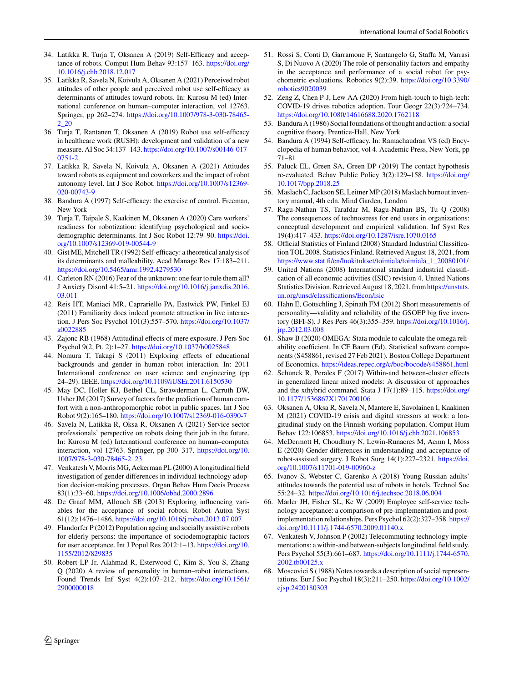- <span id="page-15-0"></span>34. Latikka R, Turja T, Oksanen A (2019) Self-Efficacy and accep[tance of robots. Comput Hum Behav 93:157–163.](https://doi.org/10.1016/j.chb.2018.12.017) https://doi.org/ 10.1016/j.chb.2018.12.017
- <span id="page-15-1"></span>35. Latikka R, Savela N, Koivula A, Oksanen A (2021) Perceived robot attitudes of other people and perceived robot use self-efficacy as determinants of attitudes toward robots. In: Kurosu M (ed) International conference on human–computer interaction, vol 12763. Springer, pp 262–274. [https://doi.org/10.1007/978-3-030-78465-](https://doi.org/10.1007/978-3-030-78465-2_20) 2\_20
- <span id="page-15-2"></span>36. Turja T, Rantanen T, Oksanen A (2019) Robot use self-efficacy in healthcare work (RUSH): development and validation of a new measure. AI Soc 34:137–143. [https://doi.org/10.1007/s00146-017-](https://doi.org/10.1007/s00146-017-0751-2) 0751-2
- <span id="page-15-3"></span>37. Latikka R, Savela N, Koivula A, Oksanen A (2021) Attitudes toward robots as equipment and coworkers and the impact of robot [autonomy level. Int J Soc Robot.](https://doi.org/10.1007/s12369-020-00743-9) https://doi.org/10.1007/s12369- 020-00743-9
- <span id="page-15-4"></span>38. Bandura A (1997) Self-efficacy: the exercise of control. Freeman, New York
- <span id="page-15-5"></span>39. Turja T, Taipale S, Kaakinen M, Oksanen A (2020) Care workers' readiness for robotization: identifying psychological and socio[demographic determinants. Int J Soc Robot 12:79–90.](https://doi.org/10.1007/s12369-019-00544-9) https://doi. org/10.1007/s12369-019-00544-9
- <span id="page-15-6"></span>40. Gist ME, Mitchell TR (1992) Self-efficacy: a theoretical analysis of its determinants and malleability. Acad Manage Rev 17:183–211. <https://doi.org/10.5465/amr.1992.4279530>
- <span id="page-15-7"></span>41. Carleton RN (2016) Fear of the unknown: one fear to rule them all? J Anxiety Disord 41:5–21. [https://doi.org/10.1016/j.janxdis.2016.](https://doi.org/10.1016/j.janxdis.2016.03.011) 03.011
- <span id="page-15-21"></span>42. Reis HT, Maniaci MR, Caprariello PA, Eastwick PW, Finkel EJ (2011) Familiarity does indeed promote attraction in live interac[tion. J Pers Soc Psychol 101\(3\):557–570.](https://doi.org/10.1037/a0022885) https://doi.org/10.1037/ a0022885
- <span id="page-15-8"></span>43. Zajonc RB (1968) Attitudinal effects of mere exposure. J Pers Soc Psychol 9(2, Pt. 2):1–27. <https://doi.org/10.1037/h0025848>
- <span id="page-15-9"></span>44. Nomura T, Takagi S (2011) Exploring effects of educational backgrounds and gender in human–robot interaction. In: 2011 International conference on user science and engineering (pp 24–29). IEEE. <https://doi.org/10.1109/iUSEr.2011.6150530>
- <span id="page-15-10"></span>45. May DC, Holler KJ, Bethel CL, Strawderman L, Carruth DW, Usher JM (2017) Survey of factors for the prediction of human comfort with a non-anthropomorphic robot in public spaces. Int J Soc Robot 9(2):165–180. <https://doi.org/10.1007/s12369-016-0390-7>
- <span id="page-15-11"></span>46. Savela N, Latikka R, Oksa R, Oksanen A (2021) Service sector professionals' perspective on robots doing their job in the future. In: Kurosu M (ed) International conference on human–computer [interaction, vol 12763. Springer, pp 300–317.](https://doi.org/10.1007/978-3-030-78465-2_23) https://doi.org/10. 1007/978-3-030-78465-2\_23
- <span id="page-15-12"></span>47. Venkatesh V, Morris MG, Ackerman PL (2000) A longitudinal field investigation of gender differences in individual technology adoption decision-making processes. Organ Behav Hum Decis Process 83(1):33–60. <https://doi.org/10.1006/obhd.2000.2896>
- <span id="page-15-13"></span>48. De Graaf MM, Allouch SB (2013) Exploring influencing variables for the acceptance of social robots. Robot Auton Syst 61(12):1476–1486. <https://doi.org/10.1016/j.robot.2013.07.007>
- <span id="page-15-14"></span>49. Flandorfer P (2012) Population ageing and socially assistive robots for elderly persons: the importance of sociodemographic factors [for user acceptance. Int J Popul Res 2012:1–13.](https://doi.org/10.1155/2012/829835) https://doi.org/10. 1155/2012/829835
- <span id="page-15-15"></span>50. Robert LP Jr, Alahmad R, Esterwood C, Kim S, You S, Zhang Q (2020) A review of personality in human–robot interactions. [Found Trends Inf Syst 4\(2\):107–212.](https://doi.org/10.1561/2900000018) https://doi.org/10.1561/ 2900000018
- <span id="page-15-16"></span>51. Rossi S, Conti D, Garramone F, Santangelo G, Staffa M, Varrasi S, Di Nuovo A (2020) The role of personality factors and empathy in the acceptance and performance of a social robot for psy[chometric evaluations. Robotics 9\(2\):39.](https://doi.org/10.3390/robotics9020039) https://doi.org/10.3390/ robotics9020039
- <span id="page-15-17"></span>52. Zeng Z, Chen P-J, Lew AA (2020) From high-touch to high-tech: COVID-19 drives robotics adoption. Tour Geogr 22(3):724–734. <https://doi.org/10.1080/14616688.2020.1762118>
- <span id="page-15-18"></span>53. Bandura A (1986) Social foundations of thought and action: a social cognitive theory. Prentice-Hall, New York
- <span id="page-15-19"></span>54. Bandura A (1994) Self-efficacy. In: Ramachaudran VS (ed) Encyclopedia of human behavior, vol 4. Academic Press, New York, pp 71–81
- <span id="page-15-20"></span>55. Paluck EL, Green SA, Green DP (2019) The contact hypothesis [re-evaluated. Behav Public Policy 3\(2\):129–158.](https://doi.org/10.1017/bpp.2018.25) https://doi.org/ 10.1017/bpp.2018.25
- <span id="page-15-22"></span>56. Maslach C, Jackson SE, Leitner MP (2018) Maslach burnout inventory manual, 4th edn. Mind Garden, London
- <span id="page-15-23"></span>57. Ragu-Nathan TS, Tarafdar M, Ragu-Nathan BS, Tu Q (2008) The consequences of technostress for end users in organizations: conceptual development and empirical validation. Inf Syst Res 19(4):417–433. <https://doi.org/10.1287/isre.1070.0165>
- <span id="page-15-24"></span>58. Official Statistics of Finland (2008) Standard Industrial Classification TOL 2008. Statistics Finland. Retrieved August 18, 2021, from [https://www.stat.fi/en/luokitukset/toimiala/toimiala\\_1\\_20080101/](https://www.stat.fi/en/luokitukset/toimiala/toimiala_1_20080101/)
- <span id="page-15-25"></span>59. United Nations (2008) International standard industrial classification of all economic activities (ISIC) revision 4. United Nations [Statistics Division. Retrieved August 18, 2021, fromhttps://unstats.](https://unstats.un.org/unsd/classifications/Econ/isic) un.org/unsd/classifications/Econ/isic
- <span id="page-15-26"></span>60. Hahn E, Gottschling J, Spinath FM (2012) Short measurements of personality—validity and reliability of the GSOEP big five inven[tory \(BFI-S\). J Res Pers 46\(3\):355–359.](https://doi.org/10.1016/j.jrp.2012.03.008) https://doi.org/10.1016/j. jrp.2012.03.008
- <span id="page-15-27"></span>61. Shaw B (2020) OMEGA: Stata module to calculate the omega reliability coefficient. In CF Baum (Ed), Statistical software components (S458861, revised 27 Feb 2021)*.* Boston College Department of Economics. <https://ideas.repec.org/c/boc/bocode/s458861.html>
- <span id="page-15-28"></span>62. Schunck R, Perales F (2017) Within-and between-cluster effects in generalized linear mixed models: A discussion of approaches [and the xthybrid command. Stata J 17\(1\):89–115.](https://doi.org/10.1177/1536867X1701700106) https://doi.org/ 10.1177/1536867X1701700106
- <span id="page-15-29"></span>63. Oksanen A, Oksa R, Savela N, Mantere E, Savolainen I, Kaakinen M (2021) COVID-19 crisis and digital stressors at work: a longitudinal study on the Finnish working population. Comput Hum Behav 122:106853. <https://doi.org/10.1016/j.chb.2021.106853>
- <span id="page-15-30"></span>64. McDermott H, Choudhury N, Lewin-Runacres M, Aemn I, Moss E (2020) Gender differences in understanding and acceptance of [robot-assisted surgery. J Robot Surg 14\(1\):227–2321.](https://doi.org/10.1007/s11701-019-00960-z) https://doi. org/10.1007/s11701-019-00960-z
- <span id="page-15-31"></span>65. Ivanov S, Webster C, Garenko A (2018) Young Russian adults' attitudes towards the potential use of robots in hotels. Technol Soc 55:24–32. <https://doi.org/10.1016/j.techsoc.2018.06.004>
- <span id="page-15-32"></span>66. Marler JH, Fisher SL, Ke W (2009) Employee self-service technology acceptance: a comparison of pre-implementation and post[implementation relationships. Pers Psychol 62\(2\):327–358.](https://doi.org/10.1111/j.1744-6570.2009.01140.x) https:// doi.org/10.1111/j.1744-6570.2009.01140.x
- <span id="page-15-33"></span>67. Venkatesh V, Johnson P (2002) Telecommuting technology implementations: a within-and between-subjects longitudinal field study. Pers Psychol 55(3):661–687. [https://doi.org/10.1111/j.1744-6570.](https://doi.org/10.1111/j.1744-6570.2002.tb00125.x) 2002.tb00125.x
- <span id="page-15-34"></span>68. Moscovici S (1988) Notes towards a description of social represen[tations. Eur J Soc Psychol 18\(3\):211–250.](https://doi.org/10.1002/ejsp.2420180303) https://doi.org/10.1002/ ejsp.2420180303